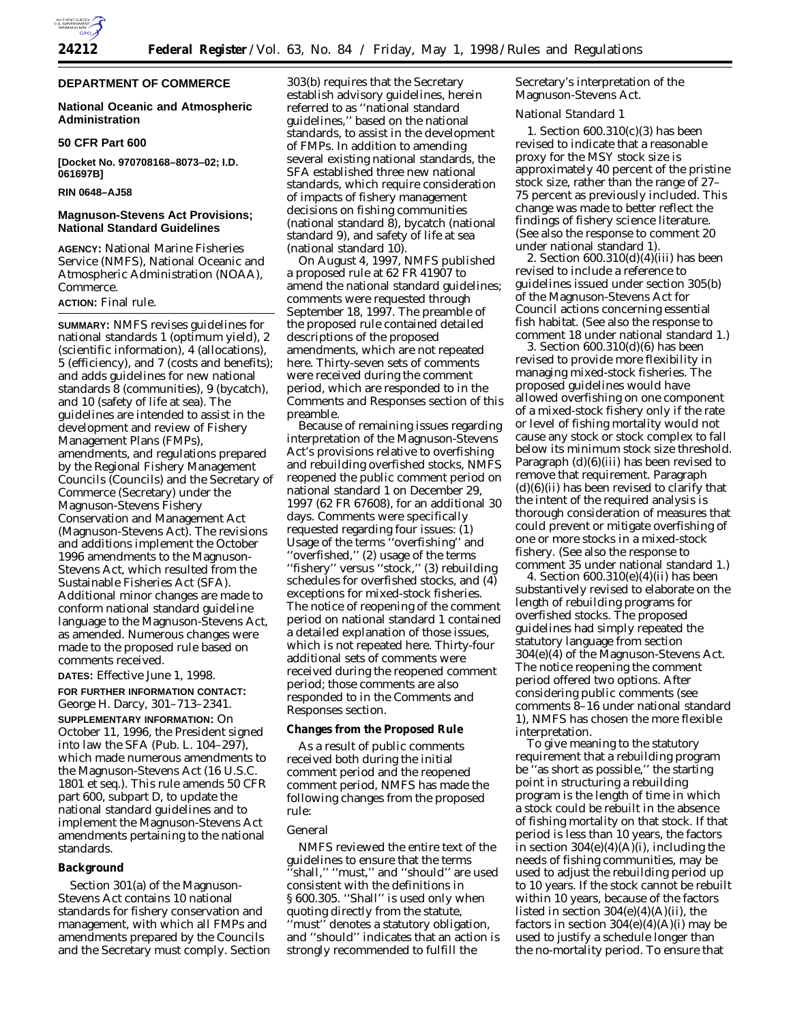

# **DEPARTMENT OF COMMERCE**

## **National Oceanic and Atmospheric Administration**

### **50 CFR Part 600**

**[Docket No. 970708168–8073–02; I.D. 061697B]**

# **RIN 0648–AJ58**

# **Magnuson-Stevens Act Provisions; National Standard Guidelines**

**AGENCY:** National Marine Fisheries Service (NMFS), National Oceanic and Atmospheric Administration (NOAA), Commerce.

## **ACTION:** Final rule.

**SUMMARY:** NMFS revises guidelines for national standards 1 (optimum yield), 2 (scientific information), 4 (allocations), 5 (efficiency), and 7 (costs and benefits); and adds guidelines for new national standards 8 (communities), 9 (bycatch), and 10 (safety of life at sea). The guidelines are intended to assist in the development and review of Fishery Management Plans (FMPs), amendments, and regulations prepared by the Regional Fishery Management Councils (Councils) and the Secretary of Commerce (Secretary) under the Magnuson-Stevens Fishery Conservation and Management Act (Magnuson-Stevens Act). The revisions and additions implement the October 1996 amendments to the Magnuson-Stevens Act, which resulted from the Sustainable Fisheries Act (SFA). Additional minor changes are made to conform national standard guideline language to the Magnuson-Stevens Act, as amended. Numerous changes were made to the proposed rule based on comments received.

**DATES:** Effective June 1, 1998.

# **FOR FURTHER INFORMATION CONTACT:** George H. Darcy, 301–713–2341.

**SUPPLEMENTARY INFORMATION:** On October 11, 1996, the President signed into law the SFA (Pub. L. 104–297), which made numerous amendments to the Magnuson-Stevens Act (16 U.S.C. 1801 *et seq*.). This rule amends 50 CFR part 600, subpart D, to update the national standard guidelines and to implement the Magnuson-Stevens Act amendments pertaining to the national standards.

### **Background**

Section 301(a) of the Magnuson-Stevens Act contains 10 national standards for fishery conservation and management, with which all FMPs and amendments prepared by the Councils and the Secretary must comply. Section

303(b) requires that the Secretary establish advisory guidelines, herein referred to as ''national standard guidelines,'' based on the national standards, to assist in the development of FMPs. In addition to amending several existing national standards, the SFA established three new national standards, which require consideration of impacts of fishery management decisions on fishing communities (national standard 8), bycatch (national standard 9), and safety of life at sea (national standard 10).

On August 4, 1997, NMFS published a proposed rule at 62 FR 41907 to amend the national standard guidelines; comments were requested through September 18, 1997. The preamble of the proposed rule contained detailed descriptions of the proposed amendments, which are not repeated here. Thirty-seven sets of comments were received during the comment period, which are responded to in the Comments and Responses section of this preamble.

Because of remaining issues regarding interpretation of the Magnuson-Stevens Act's provisions relative to overfishing and rebuilding overfished stocks, NMFS reopened the public comment period on national standard 1 on December 29, 1997 (62 FR 67608), for an additional 30 days. Comments were specifically requested regarding four issues: (1) Usage of the terms ''overfishing'' and ''overfished,'' (2) usage of the terms ''fishery'' versus ''stock,'' (3) rebuilding schedules for overfished stocks, and (4) exceptions for mixed-stock fisheries. The notice of reopening of the comment period on national standard 1 contained a detailed explanation of those issues, which is not repeated here. Thirty-four additional sets of comments were received during the reopened comment period; those comments are also responded to in the Comments and Responses section.

## **Changes from the Proposed Rule**

As a result of public comments received both during the initial comment period and the reopened comment period, NMFS has made the following changes from the proposed rule:

## *General*

NMFS reviewed the entire text of the guidelines to ensure that the terms 'shall," "must," and "should" are used consistent with the definitions in § 600.305. ''Shall'' is used only when quoting directly from the statute, ''must'' denotes a statutory obligation, and ''should'' indicates that an action is strongly recommended to fulfill the

Secretary's interpretation of the Magnuson-Stevens Act.

### *National Standard 1*

1. Section 600.310(c)(3) has been revised to indicate that a reasonable proxy for the MSY stock size is approximately 40 percent of the pristine stock size, rather than the range of 27– 75 percent as previously included. This change was made to better reflect the findings of fishery science literature. (See also the response to comment 20 under national standard 1).

2. Section 600.310(d)(4)(iii) has been revised to include a reference to guidelines issued under section 305(b) of the Magnuson-Stevens Act for Council actions concerning essential fish habitat. (See also the response to comment 18 under national standard 1.)

3. Section 600.310(d)(6) has been revised to provide more flexibility in managing mixed-stock fisheries. The proposed guidelines would have allowed overfishing on one component of a mixed-stock fishery only if the rate or level of fishing mortality would not cause any stock or stock complex to fall below its minimum stock size threshold. Paragraph (d)(6)(iii) has been revised to remove that requirement. Paragraph  $(d)(6)(ii)$  has been revised to clarify that the intent of the required analysis is thorough consideration of measures that could prevent or mitigate overfishing of one or more stocks in a mixed-stock fishery. (See also the response to comment 35 under national standard 1.)

4. Section 600.310(e)(4)(ii) has been substantively revised to elaborate on the length of rebuilding programs for overfished stocks. The proposed guidelines had simply repeated the statutory language from section 304(e)(4) of the Magnuson-Stevens Act. The notice reopening the comment period offered two options. After considering public comments (see comments 8–16 under national standard 1), NMFS has chosen the more flexible interpretation.

To give meaning to the statutory requirement that a rebuilding program be ''as short as possible,'' the starting point in structuring a rebuilding program is the length of time in which a stock could be rebuilt in the absence of fishing mortality on that stock. If that period is less than 10 years, the factors in section  $304(e)(4)(A)(i)$ , including the needs of fishing communities, may be used to adjust the rebuilding period up to 10 years. If the stock cannot be rebuilt within 10 years, because of the factors listed in section  $304(e)(4)(A)(ii)$ , the factors in section  $304(e)(4)(A)(i)$  may be used to justify a schedule longer than the no-mortality period. To ensure that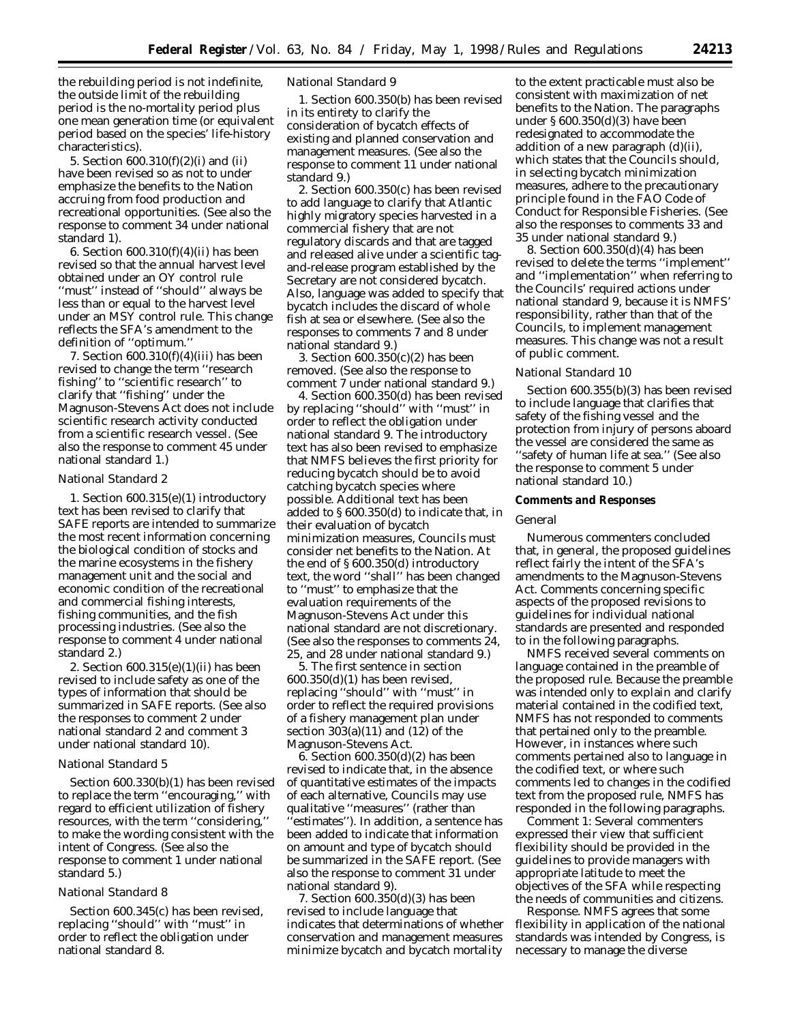the rebuilding period is not indefinite, the outside limit of the rebuilding period is the no-mortality period plus one mean generation time (or equivalent period based on the species' life-history characteristics).

5. Section 600.310(f)(2)(i) and (ii) have been revised so as not to under emphasize the benefits to the Nation accruing from food production and recreational opportunities. (See also the response to comment 34 under national standard 1).

6. Section 600.310(f)(4)(ii) has been revised so that the annual harvest level obtained under an OY control rule ''must'' instead of ''should'' always be less than or equal to the harvest level under an MSY control rule. This change reflects the SFA's amendment to the definition of ''optimum.''

7. Section 600.310(f)(4)(iii) has been revised to change the term ''research fishing'' to ''scientific research'' to clarify that ''fishing'' under the Magnuson-Stevens Act does not include scientific research activity conducted from a scientific research vessel. (See also the response to comment 45 under national standard 1.)

#### *National Standard 2*

1. Section 600.315(e)(1) introductory text has been revised to clarify that SAFE reports are intended to summarize the most recent information concerning the biological condition of stocks and the marine ecosystems in the fishery management unit and the social and economic condition of the recreational and commercial fishing interests, fishing communities, and the fish processing industries. (See also the response to comment 4 under national standard 2.)

2. Section 600.315(e)(1)(ii) has been revised to include safety as one of the types of information that should be summarized in SAFE reports. (See also the responses to comment 2 under national standard 2 and comment 3 under national standard 10).

### *National Standard 5*

Section 600.330(b)(1) has been revised to replace the term ''encouraging,'' with regard to efficient utilization of fishery resources, with the term ''considering,'' to make the wording consistent with the intent of Congress. (See also the response to comment 1 under national standard 5.)

# *National Standard 8*

Section 600.345(c) has been revised, replacing ''should'' with ''must'' in order to reflect the obligation under national standard 8.

### *National Standard 9*

1. Section 600.350(b) has been revised in its entirety to clarify the consideration of bycatch effects of existing and planned conservation and management measures. (See also the response to comment 11 under national standard 9.)

2. Section 600.350(c) has been revised to add language to clarify that Atlantic highly migratory species harvested in a commercial fishery that are not regulatory discards and that are tagged and released alive under a scientific tagand-release program established by the Secretary are not considered bycatch. Also, language was added to specify that bycatch includes the discard of whole fish at sea or elsewhere. (See also the responses to comments 7 and 8 under national standard 9.)

3. Section 600.350(c)(2) has been removed. (See also the response to comment 7 under national standard 9.)

4. Section 600.350(d) has been revised by replacing ''should'' with ''must'' in order to reflect the obligation under national standard 9. The introductory text has also been revised to emphasize that NMFS believes the first priority for reducing bycatch should be to avoid catching bycatch species where possible. Additional text has been added to § 600.350(d) to indicate that, in their evaluation of bycatch minimization measures, Councils must consider net benefits to the Nation. At the end of § 600.350(d) introductory text, the word ''shall'' has been changed to ''must'' to emphasize that the evaluation requirements of the Magnuson-Stevens Act under this national standard are not discretionary. (See also the responses to comments 24, 25, and 28 under national standard 9.)

5. The first sentence in section 600.350(d)(1) has been revised, replacing ''should'' with ''must'' in order to reflect the required provisions of a fishery management plan under section 303(a)(11) and (12) of the Magnuson-Stevens Act.

6. Section 600.350(d)(2) has been revised to indicate that, in the absence of quantitative estimates of the impacts of each alternative, Councils may use qualitative ''measures'' (rather than 'estimates''). In addition, a sentence has been added to indicate that information on amount and type of bycatch should be summarized in the SAFE report. (See also the response to comment 31 under national standard 9).

7. Section 600.350(d)(3) has been revised to include language that indicates that determinations of whether conservation and management measures minimize bycatch and bycatch mortality

to the extent practicable must also be consistent with maximization of net benefits to the Nation. The paragraphs under § 600.350(d)(3) have been redesignated to accommodate the addition of a new paragraph (d)(ii), which states that the Councils should, in selecting bycatch minimization measures, adhere to the precautionary principle found in the FAO Code of Conduct for Responsible Fisheries. (See also the responses to comments 33 and 35 under national standard 9.)

8. Section 600.350(d)(4) has been revised to delete the terms ''implement'' and ''implementation'' when referring to the Councils' required actions under national standard 9, because it is NMFS' responsibility, rather than that of the Councils, to implement management measures. This change was not a result of public comment.

### *National Standard 10*

Section 600.355(b)(3) has been revised to include language that clarifies that safety of the fishing vessel and the protection from injury of persons aboard the vessel are considered the same as ''safety of human life at sea.'' (See also the response to comment 5 under national standard 10.)

#### **Comments and Responses**

#### *General*

Numerous commenters concluded that, in general, the proposed guidelines reflect fairly the intent of the SFA's amendments to the Magnuson-Stevens Act. Comments concerning specific aspects of the proposed revisions to guidelines for individual national standards are presented and responded to in the following paragraphs.

NMFS received several comments on language contained in the preamble of the proposed rule. Because the preamble was intended only to explain and clarify material contained in the codified text, NMFS has not responded to comments that pertained only to the preamble. However, in instances where such comments pertained also to language in the codified text, or where such comments led to changes in the codified text from the proposed rule, NMFS has responded in the following paragraphs.

*Comment 1:* Several commenters expressed their view that sufficient flexibility should be provided in the guidelines to provide managers with appropriate latitude to meet the objectives of the SFA while respecting the needs of communities and citizens.

*Response*. NMFS agrees that some flexibility in application of the national standards was intended by Congress, is necessary to manage the diverse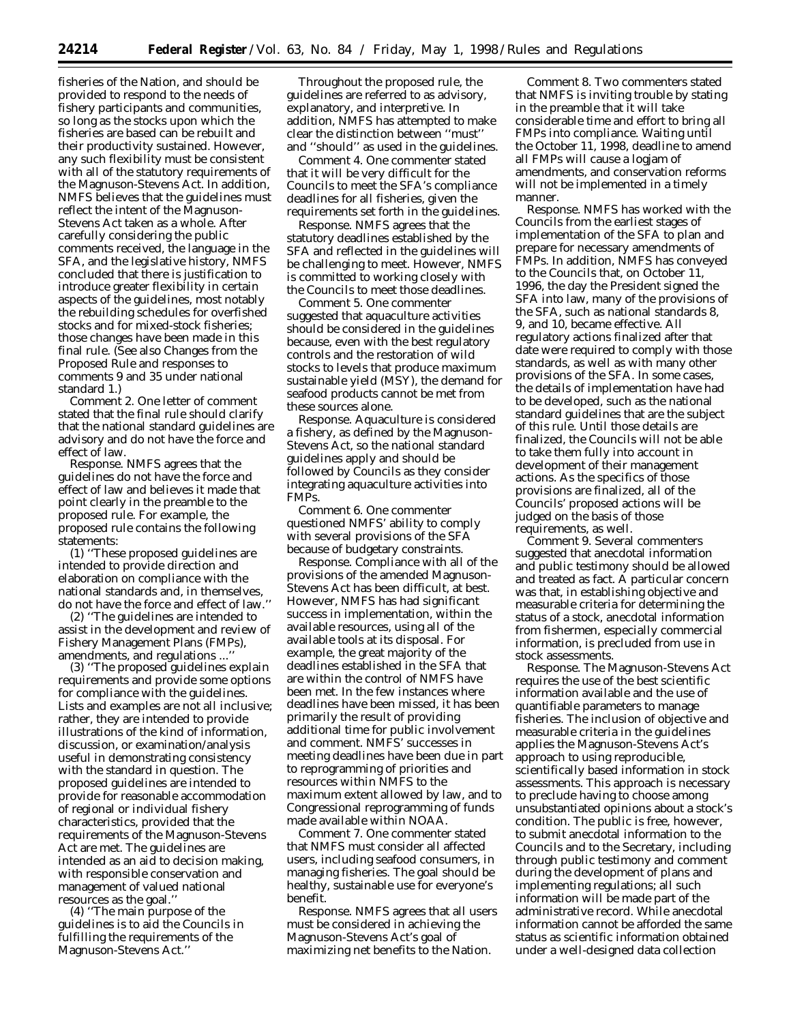fisheries of the Nation, and should be provided to respond to the needs of fishery participants and communities, so long as the stocks upon which the fisheries are based can be rebuilt and their productivity sustained. However, any such flexibility must be consistent with all of the statutory requirements of the Magnuson-Stevens Act. In addition, NMFS believes that the guidelines must reflect the intent of the Magnuson-Stevens Act taken as a whole. After carefully considering the public comments received, the language in the SFA, and the legislative history, NMFS concluded that there is justification to introduce greater flexibility in certain aspects of the guidelines, most notably the rebuilding schedules for overfished stocks and for mixed-stock fisheries; those changes have been made in this final rule. (See also Changes from the Proposed Rule and responses to comments 9 and 35 under national standard 1.)

*Comment 2*. One letter of comment stated that the final rule should clarify that the national standard guidelines are advisory and do not have the force and effect of law.

Response. NMFS agrees that the guidelines do not have the force and effect of law and believes it made that point clearly in the preamble to the proposed rule. For example, the proposed rule contains the following statements:

(1) ''These proposed guidelines are intended to provide direction and elaboration on compliance with the national standards and, in themselves, do not have the force and effect of law.''

(2) ''The guidelines are intended to assist in the development and review of Fishery Management Plans (FMPs), amendments, and regulations ...''

(3) ''The proposed guidelines explain requirements and provide some options for compliance with the guidelines. Lists and examples are not all inclusive; rather, they are intended to provide illustrations of the kind of information, discussion, or examination/analysis useful in demonstrating consistency with the standard in question. The proposed guidelines are intended to provide for reasonable accommodation of regional or individual fishery characteristics, provided that the requirements of the Magnuson-Stevens Act are met. The guidelines are intended as an aid to decision making, with responsible conservation and management of valued national resources as the goal.''

(4) ''The main purpose of the guidelines is to aid the Councils in fulfilling the requirements of the Magnuson-Stevens Act.''

Throughout the proposed rule, the guidelines are referred to as advisory, explanatory, and interpretive. In addition, NMFS has attempted to make clear the distinction between ''must'' and ''should'' as used in the guidelines.

*Comment 4*. One commenter stated that it will be very difficult for the Councils to meet the SFA's compliance deadlines for all fisheries, given the requirements set forth in the guidelines.

*Response*. NMFS agrees that the statutory deadlines established by the SFA and reflected in the guidelines will be challenging to meet. However, NMFS is committed to working closely with the Councils to meet those deadlines.

*Comment 5*. One commenter suggested that aquaculture activities should be considered in the guidelines because, even with the best regulatory controls and the restoration of wild stocks to levels that produce maximum sustainable yield (MSY), the demand for seafood products cannot be met from these sources alone.

*Response*. Aquaculture is considered a fishery, as defined by the Magnuson-Stevens Act, so the national standard guidelines apply and should be followed by Councils as they consider integrating aquaculture activities into FMPs.

*Comment 6*. One commenter questioned NMFS' ability to comply with several provisions of the SFA because of budgetary constraints.

*Response*. Compliance with all of the provisions of the amended Magnuson-Stevens Act has been difficult, at best. However, NMFS has had significant success in implementation, within the available resources, using all of the available tools at its disposal. For example, the great majority of the deadlines established in the SFA that are within the control of NMFS have been met. In the few instances where deadlines have been missed, it has been primarily the result of providing additional time for public involvement and comment. NMFS' successes in meeting deadlines have been due in part to reprogramming of priorities and resources within NMFS to the maximum extent allowed by law, and to Congressional reprogramming of funds made available within NOAA.

*Comment 7*. One commenter stated that NMFS must consider all affected users, including seafood consumers, in managing fisheries. The goal should be healthy, sustainable use for everyone's benefit.

*Response*. NMFS agrees that all users must be considered in achieving the Magnuson-Stevens Act's goal of maximizing net benefits to the Nation.

*Comment 8*. Two commenters stated that NMFS is inviting trouble by stating in the preamble that it will take considerable time and effort to bring all FMPs into compliance. Waiting until the October 11, 1998, deadline to amend all FMPs will cause a logjam of amendments, and conservation reforms will not be implemented in a timely manner.

*Response*. NMFS has worked with the Councils from the earliest stages of implementation of the SFA to plan and prepare for necessary amendments of FMPs. In addition, NMFS has conveyed to the Councils that, on October 11, 1996, the day the President signed the SFA into law, many of the provisions of the SFA, such as national standards 8, 9, and 10, became effective. All regulatory actions finalized after that date were required to comply with those standards, as well as with many other provisions of the SFA. In some cases, the details of implementation have had to be developed, such as the national standard guidelines that are the subject of this rule. Until those details are finalized, the Councils will not be able to take them fully into account in development of their management actions. As the specifics of those provisions are finalized, all of the Councils' proposed actions will be judged on the basis of those requirements, as well.

*Comment 9*. Several commenters suggested that anecdotal information and public testimony should be allowed and treated as fact. A particular concern was that, in establishing objective and measurable criteria for determining the status of a stock, anecdotal information from fishermen, especially commercial information, is precluded from use in stock assessments.

*Response*. The Magnuson-Stevens Act requires the use of the best scientific information available and the use of quantifiable parameters to manage fisheries. The inclusion of objective and measurable criteria in the guidelines applies the Magnuson-Stevens Act's approach to using reproducible, scientifically based information in stock assessments. This approach is necessary to preclude having to choose among unsubstantiated opinions about a stock's condition. The public is free, however, to submit anecdotal information to the Councils and to the Secretary, including through public testimony and comment during the development of plans and implementing regulations; all such information will be made part of the administrative record. While anecdotal information cannot be afforded the same status as scientific information obtained under a well-designed data collection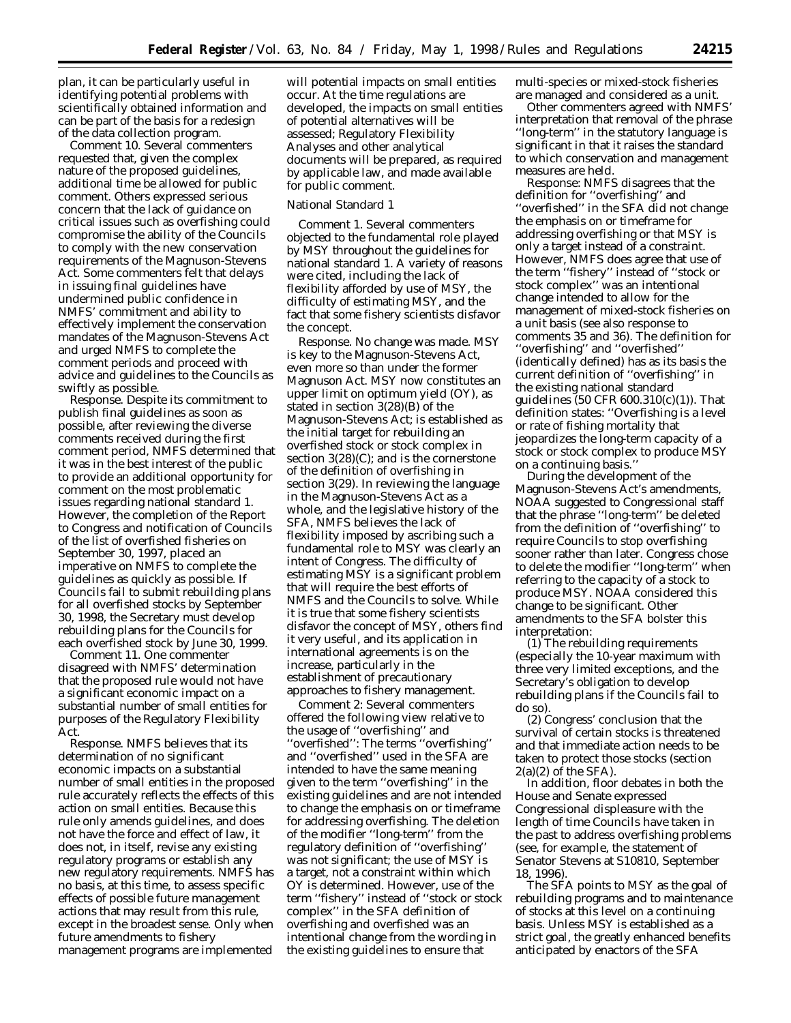plan, it can be particularly useful in identifying potential problems with scientifically obtained information and can be part of the basis for a redesign of the data collection program.

*Comment 10*. Several commenters requested that, given the complex nature of the proposed guidelines, additional time be allowed for public comment. Others expressed serious concern that the lack of guidance on critical issues such as overfishing could compromise the ability of the Councils to comply with the new conservation requirements of the Magnuson-Stevens Act. Some commenters felt that delays in issuing final guidelines have undermined public confidence in NMFS' commitment and ability to effectively implement the conservation mandates of the Magnuson-Stevens Act and urged NMFS to complete the comment periods and proceed with advice and guidelines to the Councils as swiftly as possible.

*Response*. Despite its commitment to publish final guidelines as soon as possible, after reviewing the diverse comments received during the first comment period, NMFS determined that it was in the best interest of the public to provide an additional opportunity for comment on the most problematic issues regarding national standard 1. However, the completion of the Report to Congress and notification of Councils of the list of overfished fisheries on September 30, 1997, placed an imperative on NMFS to complete the guidelines as quickly as possible. If Councils fail to submit rebuilding plans for all overfished stocks by September 30, 1998, the Secretary must develop rebuilding plans for the Councils for each overfished stock by June 30, 1999.

*Comment 11*. One commenter disagreed with NMFS' determination that the proposed rule would not have a significant economic impact on a substantial number of small entities for purposes of the Regulatory Flexibility Act.

*Response*. NMFS believes that its determination of no significant economic impacts on a substantial number of small entities in the proposed rule accurately reflects the effects of this action on small entities. Because this rule only amends guidelines, and does not have the force and effect of law, it does not, in itself, revise any existing regulatory programs or establish any new regulatory requirements. NMFS has no basis, at this time, to assess specific effects of possible future management actions that may result from this rule, except in the broadest sense. Only when future amendments to fishery management programs are implemented

will potential impacts on small entities occur. At the time regulations are developed, the impacts on small entities of potential alternatives will be assessed; Regulatory Flexibility Analyses and other analytical documents will be prepared, as required by applicable law, and made available for public comment.

# National Standard 1

*Comment 1*. Several commenters objected to the fundamental role played by MSY throughout the guidelines for national standard 1. A variety of reasons were cited, including the lack of flexibility afforded by use of MSY, the difficulty of estimating MSY, and the fact that some fishery scientists disfavor the concept.

*Response*. No change was made. MSY is key to the Magnuson-Stevens Act, even more so than under the former Magnuson Act. MSY now constitutes an upper limit on optimum yield (OY), as stated in section 3(28)(B) of the Magnuson-Stevens Act; is established as the initial target for rebuilding an overfished stock or stock complex in section 3(28)(C); and is the cornerstone of the definition of overfishing in section 3(29). In reviewing the language in the Magnuson-Stevens Act as a whole, and the legislative history of the SFA, NMFS believes the lack of flexibility imposed by ascribing such a fundamental role to MSY was clearly an intent of Congress. The difficulty of estimating MSY is a significant problem that will require the best efforts of NMFS and the Councils to solve. While it is true that some fishery scientists disfavor the concept of MSY, others find it very useful, and its application in international agreements is on the increase, particularly in the establishment of precautionary approaches to fishery management.

*Comment 2*: Several commenters offered the following view relative to the usage of ''overfishing'' and ''overfished'': The terms ''overfishing'' and ''overfished'' used in the SFA are intended to have the same meaning given to the term ''overfishing'' in the existing guidelines and are not intended to change the emphasis on or timeframe for addressing overfishing. The deletion of the modifier ''long-term'' from the regulatory definition of ''overfishing'' was not significant; the use of MSY is a target, not a constraint within which OY is determined. However, use of the term ''fishery'' instead of ''stock or stock complex'' in the SFA definition of overfishing and overfished was an intentional change from the wording in the existing guidelines to ensure that

multi-species or mixed-stock fisheries are managed and considered as a unit.

Other commenters agreed with NMFS' interpretation that removal of the phrase ''long-term'' in the statutory language is significant in that it raises the standard to which conservation and management measures are held.

*Response*: NMFS disagrees that the definition for ''overfishing'' and ''overfished'' in the SFA did not change the emphasis on or timeframe for addressing overfishing or that MSY is only a target instead of a constraint. However, NMFS does agree that use of the term ''fishery'' instead of ''stock or stock complex'' was an intentional change intended to allow for the management of mixed-stock fisheries on a unit basis (see also response to comments 35 and 36). The definition for ''overfishing'' and ''overfished'' (identically defined) has as its basis the current definition of ''overfishing'' in the existing national standard guidelines (50 CFR 600.310(c)(1)). That definition states: ''Overfishing is a level or rate of fishing mortality that jeopardizes the long-term capacity of a stock or stock complex to produce MSY on a continuing basis.''

During the development of the Magnuson-Stevens Act's amendments, NOAA suggested to Congressional staff that the phrase ''long-term'' be deleted from the definition of ''overfishing'' to require Councils to stop overfishing sooner rather than later. Congress chose to delete the modifier ''long-term'' when referring to the capacity of a stock to produce MSY. NOAA considered this change to be significant. Other amendments to the SFA bolster this interpretation:

(1) The rebuilding requirements (especially the 10-year maximum with three very limited exceptions, and the Secretary's obligation to develop rebuilding plans if the Councils fail to do so).

(2) Congress' conclusion that the survival of certain stocks is threatened and that immediate action needs to be taken to protect those stocks (section  $2(a)(2)$  of the SFA).

In addition, floor debates in both the House and Senate expressed Congressional displeasure with the length of time Councils have taken in the past to address overfishing problems (see, for example, the statement of Senator Stevens at S10810, September 18, 1996).

The SFA points to MSY as the goal of rebuilding programs and to maintenance of stocks at this level on a continuing basis. Unless MSY is established as a strict goal, the greatly enhanced benefits anticipated by enactors of the SFA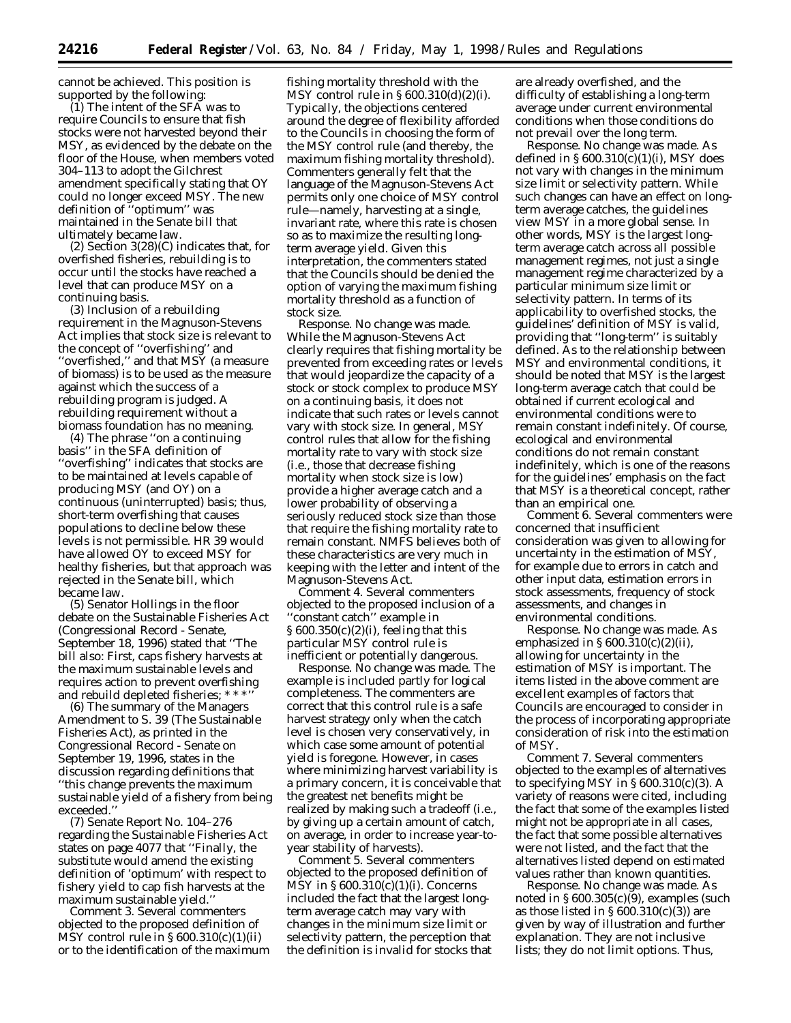cannot be achieved. This position is supported by the following:

(1) The intent of the SFA was to require Councils to ensure that fish stocks were not harvested beyond their MSY, as evidenced by the debate on the floor of the House, when members voted 304–113 to adopt the Gilchrest amendment specifically stating that OY could no longer exceed MSY. The new definition of ''optimum'' was maintained in the Senate bill that ultimately became law.

(2) Section 3(28)(C) indicates that, for overfished fisheries, rebuilding is to occur until the stocks have reached a level that can produce MSY on a continuing basis.

(3) Inclusion of a rebuilding requirement in the Magnuson-Stevens Act implies that stock size is relevant to the concept of ''overfishing'' and ''overfished,'' and that MSY (a measure of biomass) is to be used as the measure against which the success of a rebuilding program is judged. A rebuilding requirement without a biomass foundation has no meaning.

(4) The phrase ''on a continuing basis'' in the SFA definition of ''overfishing'' indicates that stocks are to be maintained at levels capable of producing MSY (and OY) on a continuous (uninterrupted) basis; thus, short-term overfishing that causes populations to decline below these levels is not permissible. HR 39 would have allowed OY to exceed MSY for healthy fisheries, but that approach was rejected in the Senate bill, which became law.

(5) Senator Hollings in the floor debate on the Sustainable Fisheries Act (Congressional Record - Senate, September 18, 1996) stated that ''The bill also: First, caps fishery harvests at the maximum sustainable levels and requires action to prevent overfishing and rebuild depleted fisheries; \* \* \*''

(6) The summary of the Managers Amendment to S. 39 (The Sustainable Fisheries Act), as printed in the Congressional Record - Senate on September 19, 1996, states in the discussion regarding definitions that ''this change prevents the maximum sustainable yield of a fishery from being exceeded.''

(7) Senate Report No. 104–276 regarding the Sustainable Fisheries Act states on page 4077 that ''Finally, the substitute would amend the existing definition of 'optimum' with respect to fishery yield to cap fish harvests at the maximum sustainable yield.''

*Comment 3*. Several commenters objected to the proposed definition of MSY control rule in § 600.310(c)(1)(ii) or to the identification of the maximum

fishing mortality threshold with the MSY control rule in § 600.310(d)(2)(i). Typically, the objections centered around the degree of flexibility afforded to the Councils in choosing the form of the MSY control rule (and thereby, the maximum fishing mortality threshold). Commenters generally felt that the language of the Magnuson-Stevens Act permits only one choice of MSY control rule—namely, harvesting at a single, invariant rate, where this rate is chosen so as to maximize the resulting longterm average yield. Given this interpretation, the commenters stated that the Councils should be denied the option of varying the maximum fishing mortality threshold as a function of stock size.

*Response*. No change was made. While the Magnuson-Stevens Act clearly requires that fishing mortality be prevented from exceeding rates or levels that would jeopardize the capacity of a stock or stock complex to produce MSY on a continuing basis, it does not indicate that such rates or levels cannot vary with stock size. In general, MSY control rules that allow for the fishing mortality rate to vary with stock size (i.e., those that decrease fishing mortality when stock size is low) provide a higher average catch and a lower probability of observing a seriously reduced stock size than those that require the fishing mortality rate to remain constant. NMFS believes both of these characteristics are very much in keeping with the letter and intent of the Magnuson-Stevens Act.

*Comment 4*. Several commenters objected to the proposed inclusion of a ''constant catch'' example in § 600.350(c)(2)(i), feeling that this particular MSY control rule is inefficient or potentially dangerous.

*Response*. No change was made. The example is included partly for logical completeness. The commenters are correct that this control rule is a safe harvest strategy only when the catch level is chosen very conservatively, in which case some amount of potential yield is foregone. However, in cases where minimizing harvest variability is a primary concern, it is conceivable that the greatest net benefits might be realized by making such a tradeoff (i.e., by giving up a certain amount of catch, on average, in order to increase year-toyear stability of harvests).

*Comment 5*. Several commenters objected to the proposed definition of MSY in  $\S 600.310(c)(1)(i)$ . Concerns included the fact that the largest longterm average catch may vary with changes in the minimum size limit or selectivity pattern, the perception that the definition is invalid for stocks that are already overfished, and the difficulty of establishing a long-term average under current environmental conditions when those conditions do not prevail over the long term.

*Response*. No change was made. As defined in  $\S 600.310(c)(1)(i)$ , MSY does not vary with changes in the minimum size limit or selectivity pattern. While such changes can have an effect on longterm average catches, the guidelines view MSY in a more global sense. In other words, MSY is the largest longterm average catch across all possible management regimes, not just a single management regime characterized by a particular minimum size limit or selectivity pattern. In terms of its applicability to overfished stocks, the guidelines' definition of MSY is valid, providing that ''long-term'' is suitably defined. As to the relationship between MSY and environmental conditions, it should be noted that MSY is the largest long-term average catch that could be obtained if current ecological and environmental conditions were to remain constant indefinitely. Of course, ecological and environmental conditions do not remain constant indefinitely, which is one of the reasons for the guidelines' emphasis on the fact that MSY is a theoretical concept, rather than an empirical one.

*Comment 6*. Several commenters were concerned that insufficient consideration was given to allowing for uncertainty in the estimation of MSY, for example due to errors in catch and other input data, estimation errors in stock assessments, frequency of stock assessments, and changes in environmental conditions.

*Response*. No change was made. As emphasized in  $\S 600.310(c)(2)(ii)$ , allowing for uncertainty in the estimation of MSY is important. The items listed in the above comment are excellent examples of factors that Councils are encouraged to consider in the process of incorporating appropriate consideration of risk into the estimation of MSY.

*Comment 7*. Several commenters objected to the examples of alternatives to specifying MSY in  $\S 600.310(c)(3)$ . A variety of reasons were cited, including the fact that some of the examples listed might not be appropriate in all cases, the fact that some possible alternatives were not listed, and the fact that the alternatives listed depend on estimated values rather than known quantities.

*Response*. No change was made. As noted in § 600.305(c)(9), examples (such as those listed in  $\S 600.310(c)(3)$  are given by way of illustration and further explanation. They are not inclusive lists; they do not limit options. Thus,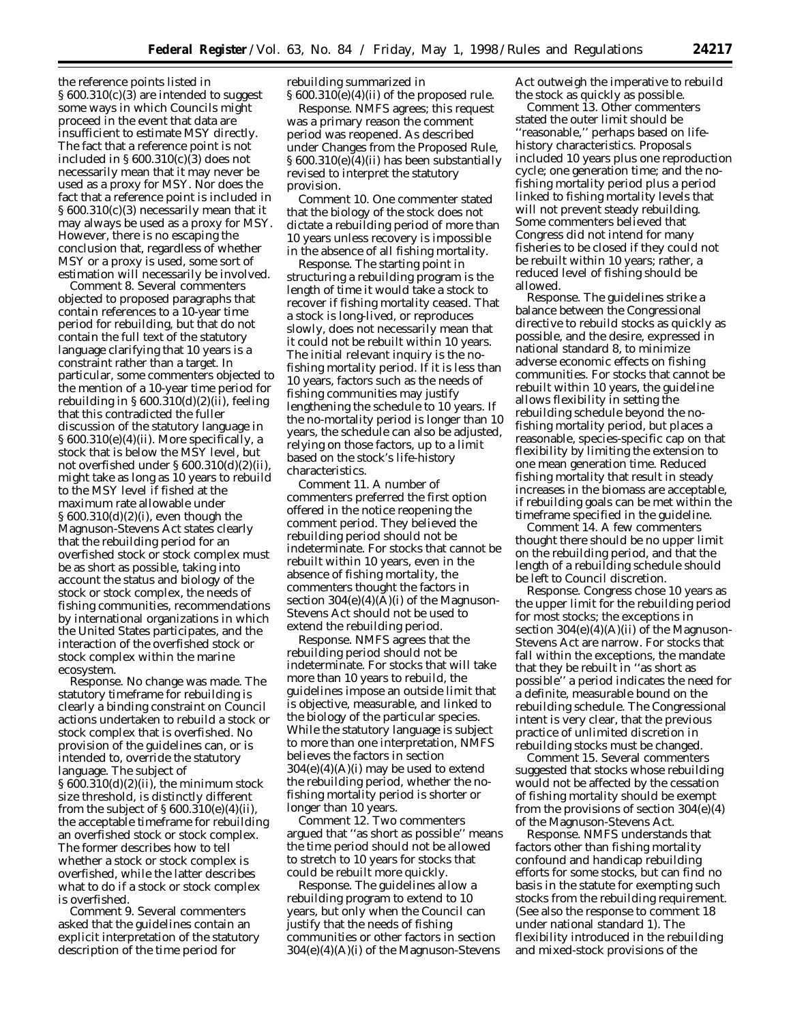the reference points listed in § 600.310(c)(3) are intended to suggest some ways in which Councils might proceed in the event that data are insufficient to estimate MSY directly. The fact that a reference point is not included in § 600.310(c)(3) does not necessarily mean that it may never be used as a proxy for MSY. Nor does the fact that a reference point is included in § 600.310(c)(3) necessarily mean that it may always be used as a proxy for MSY. However, there is no escaping the conclusion that, regardless of whether MSY or a proxy is used, some sort of estimation will necessarily be involved.

*Comment 8*. Several commenters objected to proposed paragraphs that contain references to a 10-year time period for rebuilding, but that do not contain the full text of the statutory language clarifying that 10 years is a constraint rather than a target. In particular, some commenters objected to the mention of a 10-year time period for rebuilding in  $\S 600.310(d)(2)(ii)$ , feeling that this contradicted the fuller discussion of the statutory language in § 600.310(e)(4)(ii). More specifically, a stock that is below the MSY level, but not overfished under § 600.310(d)(2)(ii), might take as long as 10 years to rebuild to the MSY level if fished at the maximum rate allowable under § 600.310(d)(2)(i), even though the Magnuson-Stevens Act states clearly that the rebuilding period for an overfished stock or stock complex must be as short as possible, taking into account the status and biology of the stock or stock complex, the needs of fishing communities, recommendations by international organizations in which the United States participates, and the interaction of the overfished stock or stock complex within the marine ecosystem.

*Response*. No change was made. The statutory timeframe for rebuilding is clearly a binding constraint on Council actions undertaken to rebuild a stock or stock complex that is overfished. No provision of the guidelines can, or is intended to, override the statutory language. The subject of  $\S 600.310(d)(2)(ii)$ , the minimum stock size threshold, is distinctly different from the subject of  $\S 600.310(e)(4)(ii)$ , the acceptable timeframe for rebuilding an overfished stock or stock complex. The former describes how to tell whether a stock or stock complex is overfished, while the latter describes what to do if a stock or stock complex is overfished.

*Comment 9*. Several commenters asked that the guidelines contain an explicit interpretation of the statutory description of the time period for

rebuilding summarized in § 600.310(e)(4)(ii) of the proposed rule.

*Response*. NMFS agrees; this request was a primary reason the comment period was reopened. As described under Changes from the Proposed Rule, § 600.310(e)(4)(ii) has been substantially revised to interpret the statutory provision.

*Comment 10*. One commenter stated that the biology of the stock does not dictate a rebuilding period of more than 10 years unless recovery is impossible in the absence of all fishing mortality.

*Response*. The starting point in structuring a rebuilding program is the length of time it would take a stock to recover if fishing mortality ceased. That a stock is long-lived, or reproduces slowly, does not necessarily mean that it could not be rebuilt within 10 years. The initial relevant inquiry is the nofishing mortality period. If it is less than 10 years, factors such as the needs of fishing communities may justify lengthening the schedule to 10 years. If the no-mortality period is longer than 10 years, the schedule can also be adjusted, relying on those factors, up to a limit based on the stock's life-history characteristics.

*Comment 11*. A number of commenters preferred the first option offered in the notice reopening the comment period. They believed the rebuilding period should not be indeterminate. For stocks that cannot be rebuilt within 10 years, even in the absence of fishing mortality, the commenters thought the factors in section  $304(e)(4)(A)(i)$  of the Magnuson-Stevens Act should not be used to extend the rebuilding period.

*Response*. NMFS agrees that the rebuilding period should not be indeterminate. For stocks that will take more than 10 years to rebuild, the guidelines impose an outside limit that is objective, measurable, and linked to the biology of the particular species. While the statutory language is subject to more than one interpretation, NMFS believes the factors in section  $304(e)(4)(A)(i)$  may be used to extend the rebuilding period, whether the nofishing mortality period is shorter or longer than 10 years.

*Comment 12*. Two commenters argued that ''as short as possible'' means the time period should not be allowed to stretch to 10 years for stocks that could be rebuilt more quickly.

*Response*. The guidelines allow a rebuilding program to extend to 10 years, but only when the Council can justify that the needs of fishing communities or other factors in section 304(e)(4)(A)(i) of the Magnuson-Stevens Act outweigh the imperative to rebuild the stock as quickly as possible.

*Comment 13*. Other commenters stated the outer limit should be ''reasonable,'' perhaps based on lifehistory characteristics. Proposals included 10 years plus one reproduction cycle; one generation time; and the nofishing mortality period plus a period linked to fishing mortality levels that will not prevent steady rebuilding. Some commenters believed that Congress did not intend for many fisheries to be closed if they could not be rebuilt within 10 years; rather, a reduced level of fishing should be allowed.

*Response*. The guidelines strike a balance between the Congressional directive to rebuild stocks as quickly as possible, and the desire, expressed in national standard 8, to minimize adverse economic effects on fishing communities. For stocks that cannot be rebuilt within 10 years, the guideline allows flexibility in setting the rebuilding schedule beyond the nofishing mortality period, but places a reasonable, species-specific cap on that flexibility by limiting the extension to one mean generation time. Reduced fishing mortality that result in steady increases in the biomass are acceptable, if rebuilding goals can be met within the timeframe specified in the guideline.

*Comment 14*. A few commenters thought there should be no upper limit on the rebuilding period, and that the length of a rebuilding schedule should be left to Council discretion.

*Response*. Congress chose 10 years as the upper limit for the rebuilding period for most stocks; the exceptions in section  $304(e)(4)(A)(ii)$  of the Magnuson-Stevens Act are narrow. For stocks that fall within the exceptions, the mandate that they be rebuilt in ''as short as possible'' a period indicates the need for a definite, measurable bound on the rebuilding schedule. The Congressional intent is very clear, that the previous practice of unlimited discretion in rebuilding stocks must be changed.

*Comment 15*. Several commenters suggested that stocks whose rebuilding would not be affected by the cessation of fishing mortality should be exempt from the provisions of section 304(e)(4) of the Magnuson-Stevens Act.

*Response*. NMFS understands that factors other than fishing mortality confound and handicap rebuilding efforts for some stocks, but can find no basis in the statute for exempting such stocks from the rebuilding requirement. (See also the response to comment 18 under national standard 1). The flexibility introduced in the rebuilding and mixed-stock provisions of the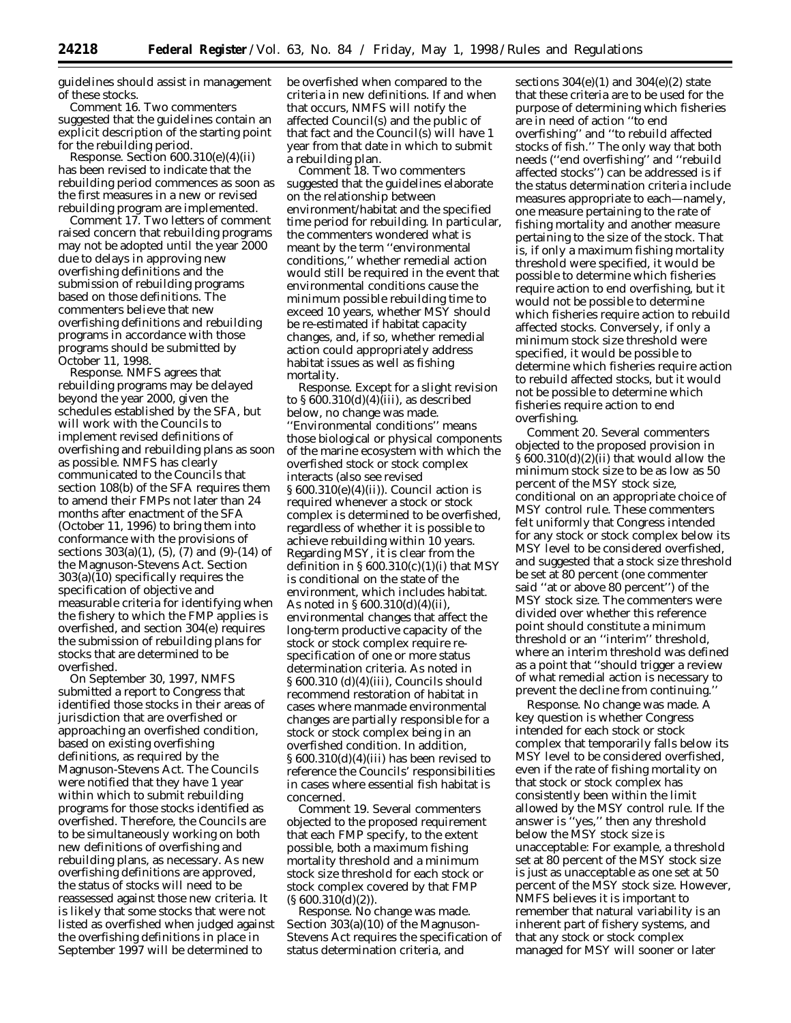guidelines should assist in management of these stocks.

*Comment 16*. Two commenters suggested that the guidelines contain an explicit description of the starting point for the rebuilding period.

*Response*. Section 600.310(e)(4)(ii) has been revised to indicate that the rebuilding period commences as soon as the first measures in a new or revised rebuilding program are implemented.

*Comment 17*. Two letters of comment raised concern that rebuilding programs may not be adopted until the year 2000 due to delays in approving new overfishing definitions and the submission of rebuilding programs based on those definitions. The commenters believe that new overfishing definitions and rebuilding programs in accordance with those programs should be submitted by October 11, 1998.

*Response*. NMFS agrees that rebuilding programs may be delayed beyond the year 2000, given the schedules established by the SFA, but will work with the Councils to implement revised definitions of overfishing and rebuilding plans as soon as possible. NMFS has clearly communicated to the Councils that section 108(b) of the SFA requires them to amend their FMPs not later than 24 months after enactment of the SFA (October 11, 1996) to bring them into conformance with the provisions of sections 303(a)(1), (5), (7) and (9)-(14) of the Magnuson-Stevens Act. Section 303(a)(10) specifically requires the specification of objective and measurable criteria for identifying when the fishery to which the FMP applies is overfished, and section 304(e) requires the submission of rebuilding plans for stocks that are determined to be overfished.

On September 30, 1997, NMFS submitted a report to Congress that identified those stocks in their areas of jurisdiction that are overfished or approaching an overfished condition, based on existing overfishing definitions, as required by the Magnuson-Stevens Act. The Councils were notified that they have 1 year within which to submit rebuilding programs for those stocks identified as overfished. Therefore, the Councils are to be simultaneously working on both new definitions of overfishing and rebuilding plans, as necessary. As new overfishing definitions are approved, the status of stocks will need to be reassessed against those new criteria. It is likely that some stocks that were not listed as overfished when judged against the overfishing definitions in place in September 1997 will be determined to

be overfished when compared to the criteria in new definitions. If and when that occurs, NMFS will notify the affected Council(s) and the public of that fact and the Council(s) will have 1 year from that date in which to submit a rebuilding plan.

*Comment 18*. Two commenters suggested that the guidelines elaborate on the relationship between environment/habitat and the specified time period for rebuilding. In particular, the commenters wondered what is meant by the term ''environmental conditions,'' whether remedial action would still be required in the event that environmental conditions cause the minimum possible rebuilding time to exceed 10 years, whether MSY should be re-estimated if habitat capacity changes, and, if so, whether remedial action could appropriately address habitat issues as well as fishing mortality.

*Response*. Except for a slight revision to  $\S 600.310(d)(4)(iii)$ , as described below, no change was made. ''Environmental conditions'' means those biological or physical components of the marine ecosystem with which the overfished stock or stock complex interacts (also see revised § 600.310(e)(4)(ii)). Council action is required whenever a stock or stock complex is determined to be overfished, regardless of whether it is possible to achieve rebuilding within 10 years. Regarding MSY, it is clear from the definition in  $\S 600.310(c)(1)(i)$  that MSY is conditional on the state of the environment, which includes habitat. As noted in § 600.310(d)(4)(ii), environmental changes that affect the long-term productive capacity of the stock or stock complex require respecification of one or more status determination criteria. As noted in § 600.310 (d)(4)(iii), Councils should recommend restoration of habitat in cases where manmade environmental changes are partially responsible for a stock or stock complex being in an overfished condition. In addition, § 600.310(d)(4)(iii) has been revised to reference the Councils' responsibilities in cases where essential fish habitat is concerned.

*Comment 19*. Several commenters objected to the proposed requirement that each FMP specify, to the extent possible, both a maximum fishing mortality threshold and a minimum stock size threshold for each stock or stock complex covered by that FMP  $(S600.310(d)(2)).$ 

*Response*. No change was made. Section 303(a)(10) of the Magnuson-Stevens Act requires the specification of status determination criteria, and

sections  $304(e)(1)$  and  $304(e)(2)$  state that these criteria are to be used for the purpose of determining which fisheries are in need of action ''to end overfishing'' and ''to rebuild affected stocks of fish.'' The only way that both needs (''end overfishing'' and ''rebuild affected stocks'') can be addressed is if the status determination criteria include measures appropriate to each—namely, one measure pertaining to the rate of fishing mortality and another measure pertaining to the size of the stock. That is, if only a maximum fishing mortality threshold were specified, it would be possible to determine which fisheries require action to end overfishing, but it would not be possible to determine which fisheries require action to rebuild affected stocks. Conversely, if only a minimum stock size threshold were specified, it would be possible to determine which fisheries require action to rebuild affected stocks, but it would not be possible to determine which fisheries require action to end overfishing.

*Comment 20*. Several commenters objected to the proposed provision in § 600.310(d)(2)(ii) that would allow the minimum stock size to be as low as 50 percent of the MSY stock size, conditional on an appropriate choice of MSY control rule. These commenters felt uniformly that Congress intended for any stock or stock complex below its MSY level to be considered overfished, and suggested that a stock size threshold be set at 80 percent (one commenter said ''at or above 80 percent'') of the MSY stock size. The commenters were divided over whether this reference point should constitute a minimum threshold or an ''interim'' threshold, where an interim threshold was defined as a point that ''should trigger a review of what remedial action is necessary to prevent the decline from continuing.''

*Response*. No change was made. A key question is whether Congress intended for each stock or stock complex that temporarily falls below its MSY level to be considered overfished, even if the rate of fishing mortality on that stock or stock complex has consistently been within the limit allowed by the MSY control rule. If the answer is ''yes,'' then any threshold below the MSY stock size is unacceptable: For example, a threshold set at 80 percent of the MSY stock size is just as unacceptable as one set at 50 percent of the MSY stock size. However, NMFS believes it is important to remember that natural variability is an inherent part of fishery systems, and that any stock or stock complex managed for MSY will sooner or later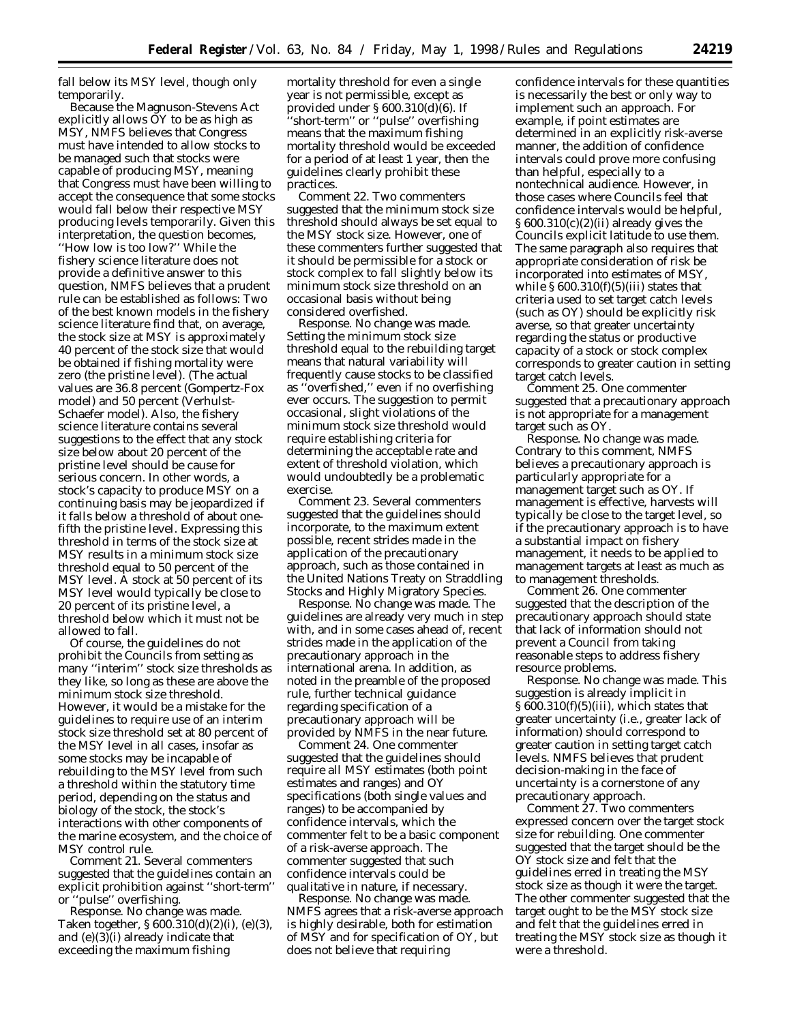fall below its MSY level, though only temporarily.

Because the Magnuson-Stevens Act explicitly allows  $\ddot{O}Y$  to be as high as MSY, NMFS believes that Congress must have intended to allow stocks to be managed such that stocks were capable of producing MSY, meaning that Congress must have been willing to accept the consequence that some stocks would fall below their respective MSY producing levels temporarily. Given this interpretation, the question becomes, ''How low is too low?'' While the fishery science literature does not provide a definitive answer to this question, NMFS believes that a prudent rule can be established as follows: Two of the best known models in the fishery science literature find that, on average, the stock size at MSY is approximately 40 percent of the stock size that would be obtained if fishing mortality were zero (the pristine level). (The actual values are 36.8 percent (Gompertz-Fox model) and 50 percent (Verhulst-Schaefer model). Also, the fishery science literature contains several suggestions to the effect that any stock size below about 20 percent of the pristine level should be cause for serious concern. In other words, a stock's capacity to produce MSY on a continuing basis may be jeopardized if it falls below a threshold of about onefifth the pristine level. Expressing this threshold in terms of the stock size at MSY results in a minimum stock size threshold equal to 50 percent of the MSY level. A stock at 50 percent of its MSY level would typically be close to 20 percent of its pristine level, a threshold below which it must not be allowed to fall.

Of course, the guidelines do not prohibit the Councils from setting as many ''interim'' stock size thresholds as they like, so long as these are above the minimum stock size threshold. However, it would be a mistake for the guidelines to require use of an interim stock size threshold set at 80 percent of the MSY level in all cases, insofar as some stocks may be incapable of rebuilding to the MSY level from such a threshold within the statutory time period, depending on the status and biology of the stock, the stock's interactions with other components of the marine ecosystem, and the choice of MSY control rule.

*Comment 21*. Several commenters suggested that the guidelines contain an explicit prohibition against ''short-term'' or ''pulse'' overfishing.

*Response*. No change was made. Taken together, § 600.310(d)(2)(i), (e)(3), and (e)(3)(i) already indicate that exceeding the maximum fishing

mortality threshold for even a single year is not permissible, except as provided under  $\S 600.310(d)(6)$ . If 'short-term" or "pulse" overfishing means that the maximum fishing mortality threshold would be exceeded for a period of at least 1 year, then the guidelines clearly prohibit these practices.

*Comment 22*. Two commenters suggested that the minimum stock size threshold should always be set equal to the MSY stock size. However, one of these commenters further suggested that it should be permissible for a stock or stock complex to fall slightly below its minimum stock size threshold on an occasional basis without being considered overfished.

*Response*. No change was made. Setting the minimum stock size threshold equal to the rebuilding target means that natural variability will frequently cause stocks to be classified as ''overfished,'' even if no overfishing ever occurs. The suggestion to permit occasional, slight violations of the minimum stock size threshold would require establishing criteria for determining the acceptable rate and extent of threshold violation, which would undoubtedly be a problematic exercise.

*Comment 23*. Several commenters suggested that the guidelines should incorporate, to the maximum extent possible, recent strides made in the application of the precautionary approach, such as those contained in the United Nations Treaty on Straddling Stocks and Highly Migratory Species.

*Response*. No change was made. The guidelines are already very much in step with, and in some cases ahead of, recent strides made in the application of the precautionary approach in the international arena. In addition, as noted in the preamble of the proposed rule, further technical guidance regarding specification of a precautionary approach will be provided by NMFS in the near future.

*Comment 24*. One commenter suggested that the guidelines should require all MSY estimates (both point estimates and ranges) and OY specifications (both single values and ranges) to be accompanied by confidence intervals, which the commenter felt to be a basic component of a risk-averse approach. The commenter suggested that such confidence intervals could be qualitative in nature, if necessary.

*Response*. No change was made. NMFS agrees that a risk-averse approach is highly desirable, both for estimation of MSY and for specification of OY, but does not believe that requiring

confidence intervals for these quantities is necessarily the best or only way to implement such an approach. For example, if point estimates are determined in an explicitly risk-averse manner, the addition of confidence intervals could prove more confusing than helpful, especially to a nontechnical audience. However, in those cases where Councils feel that confidence intervals would be helpful, § 600.310(c)(2)(ii) already gives the Councils explicit latitude to use them. The same paragraph also requires that appropriate consideration of risk be incorporated into estimates of MSY, while  $\S 600.310(f)(5)(iii)$  states that criteria used to set target catch levels (such as OY) should be explicitly risk averse, so that greater uncertainty regarding the status or productive capacity of a stock or stock complex corresponds to greater caution in setting target catch levels.

*Comment 25*. One commenter suggested that a precautionary approach is not appropriate for a management target such as OY.

*Response*. No change was made. Contrary to this comment, NMFS believes a precautionary approach is particularly appropriate for a management target such as OY. If management is effective, harvests will typically be close to the target level, so if the precautionary approach is to have a substantial impact on fishery management, it needs to be applied to management targets at least as much as to management thresholds.

*Comment 26*. One commenter suggested that the description of the precautionary approach should state that lack of information should not prevent a Council from taking reasonable steps to address fishery resource problems.

*Response*. No change was made. This suggestion is already implicit in § 600.310(f)(5)(iii), which states that greater uncertainty (i.e., greater lack of information) should correspond to greater caution in setting target catch levels. NMFS believes that prudent decision-making in the face of uncertainty is a cornerstone of any precautionary approach.

*Comment 27*. Two commenters expressed concern over the target stock size for rebuilding. One commenter suggested that the target should be the OY stock size and felt that the guidelines erred in treating the MSY stock size as though it were the target. The other commenter suggested that the target ought to be the MSY stock size and felt that the guidelines erred in treating the MSY stock size as though it were a threshold.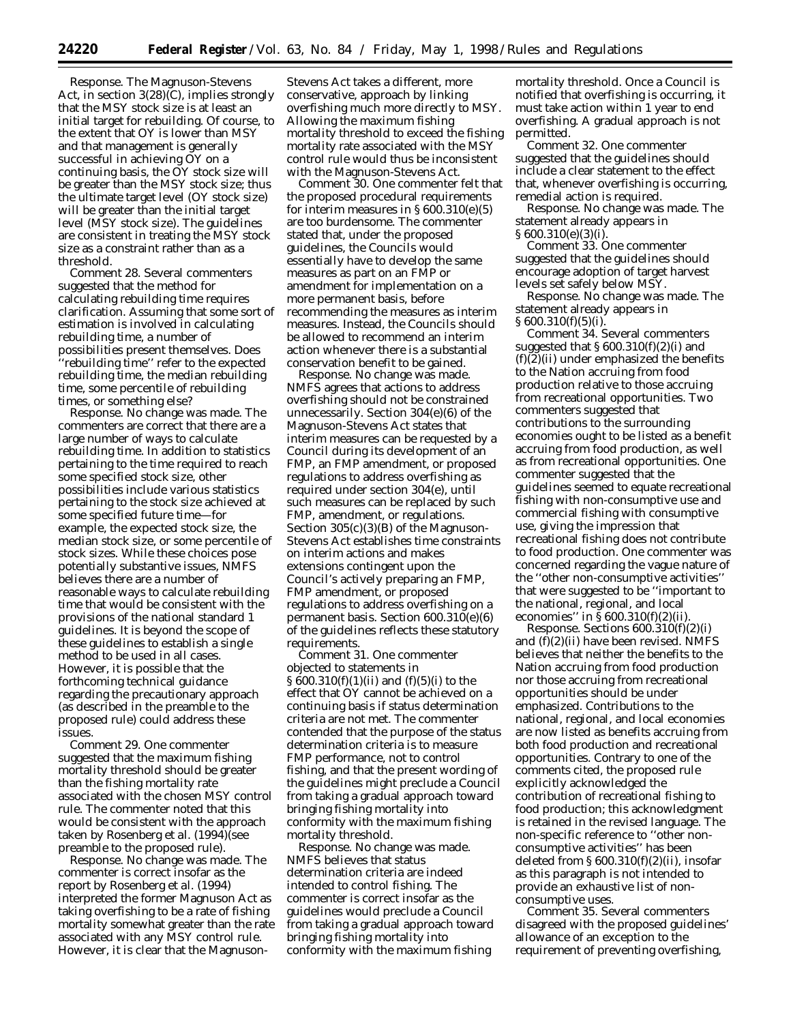*Response*. The Magnuson-Stevens Act, in section 3(28)(C), implies strongly that the MSY stock size is at least an initial target for rebuilding. Of course, to the extent that OY is lower than MSY and that management is generally successful in achieving OY on a continuing basis, the OY stock size will be greater than the MSY stock size; thus the ultimate target level (OY stock size) will be greater than the initial target level (MSY stock size). The guidelines are consistent in treating the MSY stock size as a constraint rather than as a threshold.

*Comment 28*. Several commenters suggested that the method for calculating rebuilding time requires clarification. Assuming that some sort of estimation is involved in calculating rebuilding time, a number of possibilities present themselves. Does ''rebuilding time'' refer to the expected rebuilding time, the median rebuilding time, some percentile of rebuilding times, or something else?

*Response*. No change was made. The commenters are correct that there are a large number of ways to calculate rebuilding time. In addition to statistics pertaining to the time required to reach some specified stock size, other possibilities include various statistics pertaining to the stock size achieved at some specified future time—for example, the expected stock size, the median stock size, or some percentile of stock sizes. While these choices pose potentially substantive issues, NMFS believes there are a number of reasonable ways to calculate rebuilding time that would be consistent with the provisions of the national standard 1 guidelines. It is beyond the scope of these guidelines to establish a single method to be used in all cases. However, it is possible that the forthcoming technical guidance regarding the precautionary approach (as described in the preamble to the proposed rule) could address these issues.

*Comment 29*. One commenter suggested that the maximum fishing mortality threshold should be greater than the fishing mortality rate associated with the chosen MSY control rule. The commenter noted that this would be consistent with the approach taken by Rosenberg *et al*. (1994)(see preamble to the proposed rule).

*Response*. No change was made. The commenter is correct insofar as the report by Rosenberg *et al*. (1994) interpreted the former Magnuson Act as taking overfishing to be a rate of fishing mortality somewhat greater than the rate associated with any MSY control rule. However, it is clear that the Magnuson-

Stevens Act takes a different, more conservative, approach by linking overfishing much more directly to MSY. Allowing the maximum fishing mortality threshold to exceed the fishing mortality rate associated with the MSY control rule would thus be inconsistent with the Magnuson-Stevens Act.

*Comment 30*. One commenter felt that the proposed procedural requirements for interim measures in  $\S 600.310(e)(5)$ are too burdensome. The commenter stated that, under the proposed guidelines, the Councils would essentially have to develop the same measures as part on an FMP or amendment for implementation on a more permanent basis, before recommending the measures as interim measures. Instead, the Councils should be allowed to recommend an interim action whenever there is a substantial conservation benefit to be gained.

*Response*. No change was made. NMFS agrees that actions to address overfishing should not be constrained unnecessarily. Section 304(e)(6) of the Magnuson-Stevens Act states that interim measures can be requested by a Council during its development of an FMP, an FMP amendment, or proposed regulations to address overfishing as required under section 304(e), until such measures can be replaced by such FMP, amendment, or regulations. Section 305(c)(3)(B) of the Magnuson-Stevens Act establishes time constraints on interim actions and makes extensions contingent upon the Council's actively preparing an FMP, FMP amendment, or proposed regulations to address overfishing on a permanent basis. Section 600.310(e)(6) of the guidelines reflects these statutory requirements.

*Comment 31*. One commenter objected to statements in § 600.310(f)(1)(ii) and (f)(5)(i) to the effect that OY cannot be achieved on a continuing basis if status determination criteria are not met. The commenter contended that the purpose of the status determination criteria is to measure FMP performance, not to control fishing, and that the present wording of the guidelines might preclude a Council from taking a gradual approach toward bringing fishing mortality into conformity with the maximum fishing mortality threshold.

*Response*. No change was made. NMFS believes that status determination criteria are indeed intended to control fishing. The commenter is correct insofar as the guidelines would preclude a Council from taking a gradual approach toward bringing fishing mortality into conformity with the maximum fishing

mortality threshold. Once a Council is notified that overfishing is occurring, it must take action within 1 year to end overfishing. A gradual approach is not permitted.

*Comment 32*. One commenter suggested that the guidelines should include a clear statement to the effect that, whenever overfishing is occurring, remedial action is required.

*Response*. No change was made. The statement already appears in § 600.310(e)(3)(i).

*Comment 33*. One commenter suggested that the guidelines should encourage adoption of target harvest levels set safely below MSY.

*Response*. No change was made. The statement already appears in  $§ 600.310(f)(5)(i).$ 

*Comment 34*. Several commenters suggested that  $\S 600.310(f)(2)(i)$  and  $(f)(2)(ii)$  under emphasized the benefits to the Nation accruing from food production relative to those accruing from recreational opportunities. Two commenters suggested that contributions to the surrounding economies ought to be listed as a benefit accruing from food production, as well as from recreational opportunities. One commenter suggested that the guidelines seemed to equate recreational fishing with non-consumptive use and commercial fishing with consumptive use, giving the impression that recreational fishing does not contribute to food production. One commenter was concerned regarding the vague nature of the ''other non-consumptive activities'' that were suggested to be ''important to the national, regional, and local economies" in  $\bar{S}$  600.310(f)(2)(ii).

*Response*. Sections 600.310(f)(2)(i) and (f)(2)(ii) have been revised. NMFS believes that neither the benefits to the Nation accruing from food production nor those accruing from recreational opportunities should be under emphasized. Contributions to the national, regional, and local economies are now listed as benefits accruing from both food production and recreational opportunities. Contrary to one of the comments cited, the proposed rule explicitly acknowledged the contribution of recreational fishing to food production; this acknowledgment is retained in the revised language. The non-specific reference to ''other nonconsumptive activities'' has been deleted from § 600.310(f)(2)(ii), insofar as this paragraph is not intended to provide an exhaustive list of nonconsumptive uses.

*Comment 35*. Several commenters disagreed with the proposed guidelines' allowance of an exception to the requirement of preventing overfishing,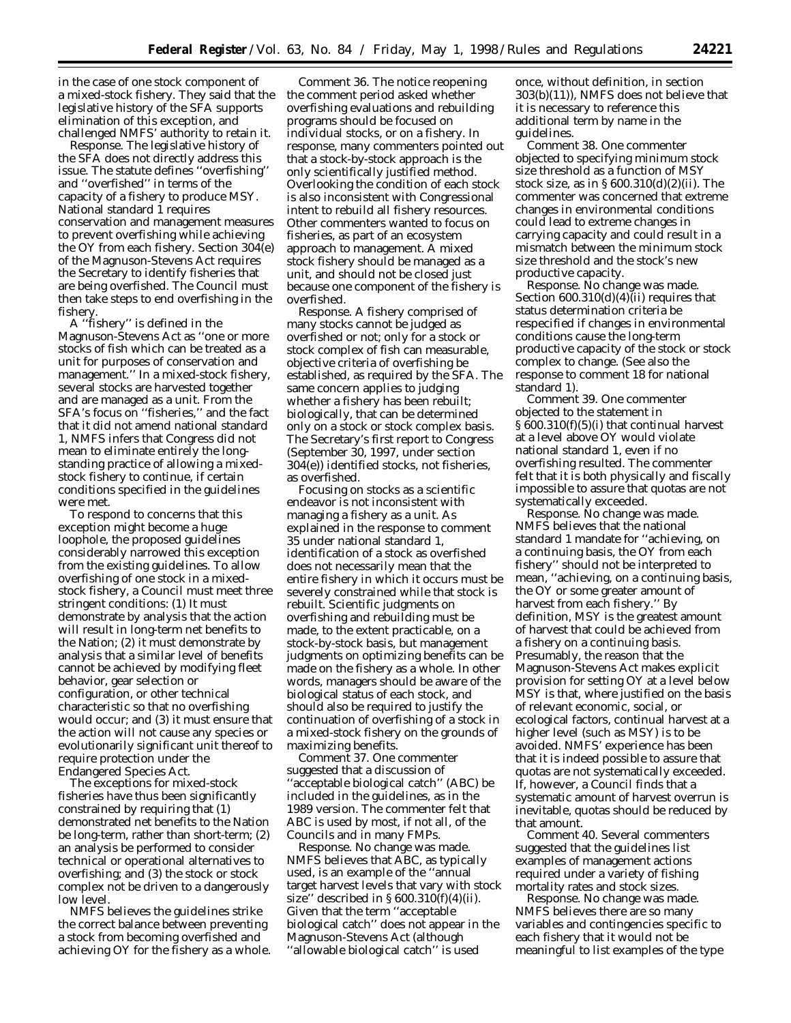in the case of one stock component of a mixed-stock fishery. They said that the legislative history of the SFA supports elimination of this exception, and challenged NMFS' authority to retain it.

*Response*. The legislative history of the SFA does not directly address this issue. The statute defines ''overfishing'' and ''overfished'' in terms of the capacity of a fishery to produce MSY. National standard 1 requires conservation and management measures to prevent overfishing while achieving the OY from each fishery. Section 304(e) of the Magnuson-Stevens Act requires the Secretary to identify fisheries that are being overfished. The Council must then take steps to end overfishing in the fishery.

A ''fishery'' is defined in the Magnuson-Stevens Act as ''one or more stocks of fish which can be treated as a unit for purposes of conservation and management.'' In a mixed-stock fishery, several stocks are harvested together and are managed as a unit. From the SFA's focus on ''fisheries,'' and the fact that it did not amend national standard 1, NMFS infers that Congress did not mean to eliminate entirely the longstanding practice of allowing a mixedstock fishery to continue, if certain conditions specified in the guidelines were met.

To respond to concerns that this exception might become a huge loophole, the proposed guidelines considerably narrowed this exception from the existing guidelines. To allow overfishing of one stock in a mixedstock fishery, a Council must meet three stringent conditions: (1) It must demonstrate by analysis that the action will result in long-term net benefits to the Nation; (2) it must demonstrate by analysis that a similar level of benefits cannot be achieved by modifying fleet behavior, gear selection or configuration, or other technical characteristic so that no overfishing would occur; and (3) it must ensure that the action will not cause any species or evolutionarily significant unit thereof to require protection under the Endangered Species Act.

The exceptions for mixed-stock fisheries have thus been significantly constrained by requiring that (1) demonstrated net benefits to the Nation be long-term, rather than short-term; (2) an analysis be performed to consider technical or operational alternatives to overfishing; and (3) the stock or stock complex not be driven to a dangerously low level.

NMFS believes the guidelines strike the correct balance between preventing a stock from becoming overfished and achieving OY for the fishery as a whole.

*Comment 36*. The notice reopening the comment period asked whether overfishing evaluations and rebuilding programs should be focused on individual stocks, or on a fishery. In response, many commenters pointed out that a stock-by-stock approach is the only scientifically justified method. Overlooking the condition of each stock is also inconsistent with Congressional intent to rebuild all fishery resources. Other commenters wanted to focus on fisheries, as part of an ecosystem approach to management. A mixed stock fishery should be managed as a unit, and should not be closed just because one component of the fishery is overfished.

*Response*. A fishery comprised of many stocks cannot be judged as overfished or not; only for a stock or stock complex of fish can measurable, objective criteria of overfishing be established, as required by the SFA. The same concern applies to judging whether a fishery has been rebuilt; biologically, that can be determined only on a stock or stock complex basis. The Secretary's first report to Congress (September 30, 1997, under section 304(e)) identified stocks, not fisheries, as overfished.

Focusing on stocks as a scientific endeavor is not inconsistent with managing a fishery as a unit. As explained in the response to comment 35 under national standard 1, identification of a stock as overfished does not necessarily mean that the entire fishery in which it occurs must be severely constrained while that stock is rebuilt. Scientific judgments on overfishing and rebuilding must be made, to the extent practicable, on a stock-by-stock basis, but management judgments on optimizing benefits can be made on the fishery as a whole. In other words, managers should be aware of the biological status of each stock, and should also be required to justify the continuation of overfishing of a stock in a mixed-stock fishery on the grounds of maximizing benefits.

*Comment 37*. One commenter suggested that a discussion of ''acceptable biological catch'' (ABC) be included in the guidelines, as in the 1989 version. The commenter felt that ABC is used by most, if not all, of the Councils and in many FMPs.

*Response*. No change was made. NMFS believes that ABC, as typically used, is an example of the ''annual target harvest levels that vary with stock size" described in  $\S 600.310(f)(4)(ii)$ . Given that the term ''acceptable biological catch'' does not appear in the Magnuson-Stevens Act (although ''allowable biological catch'' is used

once, without definition, in section 303(b)(11)), NMFS does not believe that it is necessary to reference this additional term by name in the guidelines.

*Comment 38*. One commenter objected to specifying minimum stock size threshold as a function of MSY stock size, as in § 600.310(d)(2)(ii). The commenter was concerned that extreme changes in environmental conditions could lead to extreme changes in carrying capacity and could result in a mismatch between the minimum stock size threshold and the stock's new productive capacity.

*Response*. No change was made. Section 600.310(d)(4)(ii) requires that status determination criteria be respecified if changes in environmental conditions cause the long-term productive capacity of the stock or stock complex to change. (See also the response to comment 18 for national standard 1).

*Comment 39*. One commenter objected to the statement in § 600.310(f)(5)(i) that continual harvest at a level above OY would violate national standard 1, even if no overfishing resulted. The commenter felt that it is both physically and fiscally impossible to assure that quotas are not systematically exceeded.

*Response*. No change was made. NMFS believes that the national standard 1 mandate for ''achieving, on a continuing basis, the OY from each fishery'' should not be interpreted to mean, ''achieving, on a continuing basis, the OY or some greater amount of harvest from each fishery.'' By definition, MSY is the greatest amount of harvest that could be achieved from a fishery on a continuing basis. Presumably, the reason that the Magnuson-Stevens Act makes explicit provision for setting OY at a level below MSY is that, where justified on the basis of relevant economic, social, or ecological factors, continual harvest at a higher level (such as MSY) is to be avoided. NMFS' experience has been that it is indeed possible to assure that quotas are not systematically exceeded. If, however, a Council finds that a systematic amount of harvest overrun is inevitable, quotas should be reduced by that amount.

*Comment 40*. Several commenters suggested that the guidelines list examples of management actions required under a variety of fishing mortality rates and stock sizes.

*Response*. No change was made. NMFS believes there are so many variables and contingencies specific to each fishery that it would not be meaningful to list examples of the type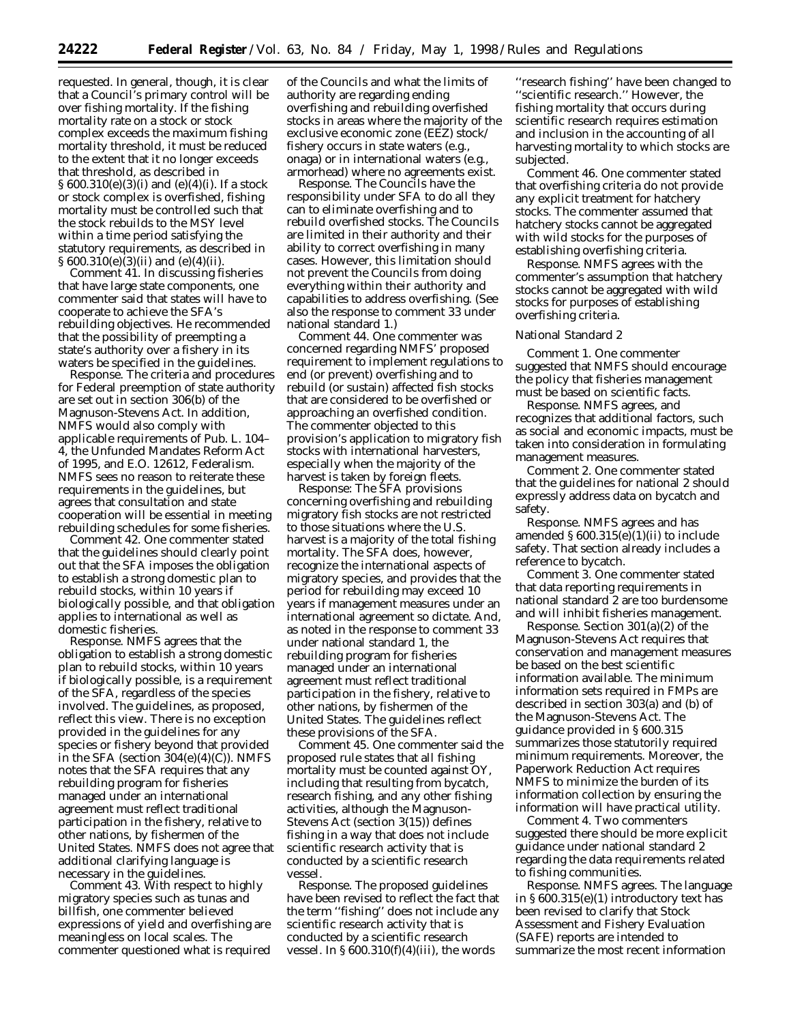requested. In general, though, it is clear that a Council's primary control will be over fishing mortality. If the fishing mortality rate on a stock or stock complex exceeds the maximum fishing mortality threshold, it must be reduced to the extent that it no longer exceeds that threshold, as described in § 600.310(e)(3)(i) and (e)(4)(i). If a stock or stock complex is overfished, fishing mortality must be controlled such that the stock rebuilds to the MSY level within a time period satisfying the statutory requirements, as described in § 600.310(e)(3)(ii) and (e)(4)(ii).

*Comment 41*. In discussing fisheries that have large state components, one commenter said that states will have to cooperate to achieve the SFA's rebuilding objectives. He recommended that the possibility of preempting a state's authority over a fishery in its waters be specified in the guidelines.

*Response*. The criteria and procedures for Federal preemption of state authority are set out in section 306(b) of the Magnuson-Stevens Act. In addition, NMFS would also comply with applicable requirements of Pub. L. 104– 4, the Unfunded Mandates Reform Act of 1995, and E.O. 12612, Federalism. NMFS sees no reason to reiterate these requirements in the guidelines, but agrees that consultation and state cooperation will be essential in meeting rebuilding schedules for some fisheries.

*Comment 42*. One commenter stated that the guidelines should clearly point out that the SFA imposes the obligation to establish a strong domestic plan to rebuild stocks, within 10 years if biologically possible, and that obligation applies to international as well as domestic fisheries.

*Response*. NMFS agrees that the obligation to establish a strong domestic plan to rebuild stocks, within 10 years if biologically possible, is a requirement of the SFA, regardless of the species involved. The guidelines, as proposed, reflect this view. There is no exception provided in the guidelines for any species or fishery beyond that provided in the SFA (section  $304(e)(4)(C)$ ). NMFS notes that the SFA requires that any rebuilding program for fisheries managed under an international agreement must reflect traditional participation in the fishery, relative to other nations, by fishermen of the United States. NMFS does not agree that additional clarifying language is necessary in the guidelines.

*Comment 43*. With respect to highly migratory species such as tunas and billfish, one commenter believed expressions of yield and overfishing are meaningless on local scales. The commenter questioned what is required of the Councils and what the limits of authority are regarding ending overfishing and rebuilding overfished stocks in areas where the majority of the exclusive economic zone (EEZ) stock/ fishery occurs in state waters (e.g., onaga) or in international waters (e.g., armorhead) where no agreements exist.

*Response*. The Councils have the responsibility under SFA to do all they can to eliminate overfishing and to rebuild overfished stocks. The Councils are limited in their authority and their ability to correct overfishing in many cases. However, this limitation should not prevent the Councils from doing everything within their authority and capabilities to address overfishing. (See also the response to comment 33 under national standard 1.)

*Comment 44*. One commenter was concerned regarding NMFS' proposed requirement to implement regulations to end (or prevent) overfishing and to rebuild (or sustain) affected fish stocks that are considered to be overfished or approaching an overfished condition. The commenter objected to this provision's application to migratory fish stocks with international harvesters, especially when the majority of the harvest is taken by foreign fleets.

*Response*: The SFA provisions concerning overfishing and rebuilding migratory fish stocks are not restricted to those situations where the U.S. harvest is a majority of the total fishing mortality. The SFA does, however, recognize the international aspects of migratory species, and provides that the period for rebuilding may exceed 10 years if management measures under an international agreement so dictate. And, as noted in the response to comment 33 under national standard 1, the rebuilding program for fisheries managed under an international agreement must reflect traditional participation in the fishery, relative to other nations, by fishermen of the United States. The guidelines reflect these provisions of the SFA.

*Comment 45*. One commenter said the proposed rule states that all fishing mortality must be counted against OY, including that resulting from bycatch, research fishing, and any other fishing activities, although the Magnuson-Stevens Act (section 3(15)) defines fishing in a way that does not include scientific research activity that is conducted by a scientific research vessel.

*Response*. The proposed guidelines have been revised to reflect the fact that the term ''fishing'' does not include any scientific research activity that is conducted by a scientific research vessel. In  $\S 600.310(f)(4)(iii)$ , the words

''research fishing'' have been changed to ''scientific research.'' However, the fishing mortality that occurs during scientific research requires estimation and inclusion in the accounting of all harvesting mortality to which stocks are subjected.

*Comment 46*. One commenter stated that overfishing criteria do not provide any explicit treatment for hatchery stocks. The commenter assumed that hatchery stocks cannot be aggregated with wild stocks for the purposes of establishing overfishing criteria.

*Response*. NMFS agrees with the commenter's assumption that hatchery stocks cannot be aggregated with wild stocks for purposes of establishing overfishing criteria.

# National Standard 2

*Comment 1*. One commenter suggested that NMFS should encourage the policy that fisheries management must be based on scientific facts.

*Response*. NMFS agrees, and recognizes that additional factors, such as social and economic impacts, must be taken into consideration in formulating management measures.

*Comment 2*. One commenter stated that the guidelines for national 2 should expressly address data on bycatch and safety.

*Response*. NMFS agrees and has amended § 600.315(e)(1)(ii) to include safety. That section already includes a reference to bycatch.

*Comment 3*. One commenter stated that data reporting requirements in national standard 2 are too burdensome and will inhibit fisheries management.

*Response*. Section 301(a)(2) of the Magnuson-Stevens Act requires that conservation and management measures be based on the best scientific information available. The minimum information sets required in FMPs are described in section 303(a) and (b) of the Magnuson-Stevens Act. The guidance provided in § 600.315 summarizes those statutorily required minimum requirements. Moreover, the Paperwork Reduction Act requires NMFS to minimize the burden of its information collection by ensuring the information will have practical utility.

*Comment 4*. Two commenters suggested there should be more explicit guidance under national standard 2 regarding the data requirements related to fishing communities.

*Response*. NMFS agrees. The language in § 600.315(e)(1) introductory text has been revised to clarify that Stock Assessment and Fishery Evaluation (SAFE) reports are intended to summarize the most recent information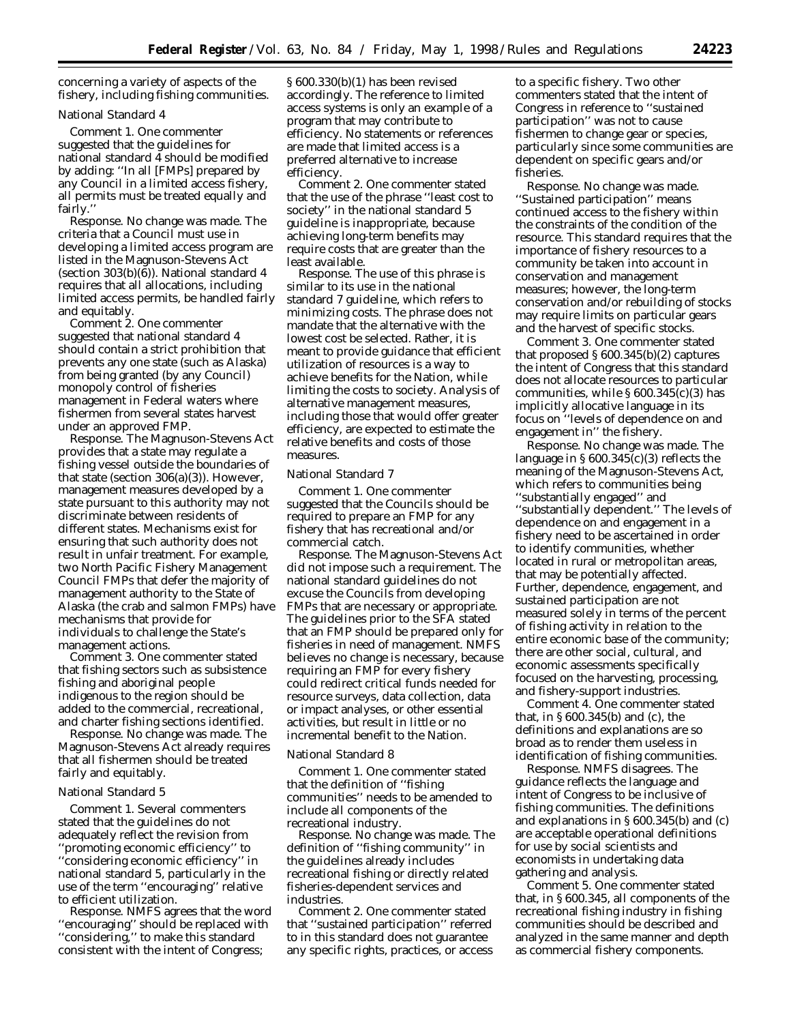concerning a variety of aspects of the fishery, including fishing communities.

# National Standard 4

*Comment 1*. One commenter suggested that the guidelines for national standard 4 should be modified by adding: ''In all [FMPs] prepared by any Council in a limited access fishery, all permits must be treated equally and fairly.''

*Response*. No change was made. The criteria that a Council must use in developing a limited access program are listed in the Magnuson-Stevens Act (section 303(b)(6)). National standard 4 requires that all allocations, including limited access permits, be handled fairly and equitably.

*Comment 2*. One commenter suggested that national standard 4 should contain a strict prohibition that prevents any one state (such as Alaska) from being granted (by any Council) monopoly control of fisheries management in Federal waters where fishermen from several states harvest under an approved FMP.

*Response*. The Magnuson-Stevens Act provides that a state may regulate a fishing vessel outside the boundaries of that state (section 306(a)(3)). However, management measures developed by a state pursuant to this authority may not discriminate between residents of different states. Mechanisms exist for ensuring that such authority does not result in unfair treatment. For example, two North Pacific Fishery Management Council FMPs that defer the majority of management authority to the State of Alaska (the crab and salmon FMPs) have mechanisms that provide for individuals to challenge the State's management actions.

*Comment 3*. One commenter stated that fishing sectors such as subsistence fishing and aboriginal people indigenous to the region should be added to the commercial, recreational, and charter fishing sections identified.

*Response*. No change was made. The Magnuson-Stevens Act already requires that all fishermen should be treated fairly and equitably.

#### National Standard 5

*Comment 1*. Several commenters stated that the guidelines do not adequately reflect the revision from ''promoting economic efficiency'' to ''considering economic efficiency'' in national standard 5, particularly in the use of the term ''encouraging'' relative to efficient utilization.

*Response*. NMFS agrees that the word ''encouraging'' should be replaced with ''considering,'' to make this standard consistent with the intent of Congress;

§ 600.330(b)(1) has been revised accordingly. The reference to limited access systems is only an example of a program that may contribute to efficiency. No statements or references are made that limited access is a preferred alternative to increase efficiency.

*Comment 2*. One commenter stated that the use of the phrase ''least cost to society'' in the national standard 5 guideline is inappropriate, because achieving long-term benefits may require costs that are greater than the least available.

*Response*. The use of this phrase is similar to its use in the national standard 7 guideline, which refers to minimizing costs. The phrase does not mandate that the alternative with the lowest cost be selected. Rather, it is meant to provide guidance that efficient utilization of resources is a way to achieve benefits for the Nation, while limiting the costs to society. Analysis of alternative management measures, including those that would offer greater efficiency, are expected to estimate the relative benefits and costs of those measures.

# National Standard 7

*Comment 1*. One commenter suggested that the Councils should be required to prepare an FMP for any fishery that has recreational and/or commercial catch.

*Response*. The Magnuson-Stevens Act did not impose such a requirement. The national standard guidelines do not excuse the Councils from developing FMPs that are necessary or appropriate. The guidelines prior to the SFA stated that an FMP should be prepared only for fisheries in need of management. NMFS believes no change is necessary, because requiring an FMP for every fishery could redirect critical funds needed for resource surveys, data collection, data or impact analyses, or other essential activities, but result in little or no incremental benefit to the Nation.

### National Standard 8

*Comment 1*. One commenter stated that the definition of ''fishing communities'' needs to be amended to include all components of the recreational industry.

*Response*. No change was made. The definition of ''fishing community'' in the guidelines already includes recreational fishing or directly related fisheries-dependent services and industries.

*Comment 2*. One commenter stated that ''sustained participation'' referred to in this standard does not guarantee any specific rights, practices, or access

to a specific fishery. Two other commenters stated that the intent of Congress in reference to ''sustained participation'' was not to cause fishermen to change gear or species, particularly since some communities are dependent on specific gears and/or fisheries.

*Response*. No change was made. ''Sustained participation'' means continued access to the fishery within the constraints of the condition of the resource. This standard requires that the importance of fishery resources to a community be taken into account in conservation and management measures; however, the long-term conservation and/or rebuilding of stocks may require limits on particular gears and the harvest of specific stocks.

*Comment 3*. One commenter stated that proposed § 600.345(b)(2) captures the intent of Congress that this standard does not allocate resources to particular communities, while  $\S 600.345(c)(3)$  has implicitly allocative language in its focus on ''levels of dependence on and engagement in'' the fishery.

*Response*. No change was made. The language in  $\S 600.345(c)(3)$  reflects the meaning of the Magnuson-Stevens Act, which refers to communities being ''substantially engaged'' and ''substantially dependent.'' The levels of dependence on and engagement in a fishery need to be ascertained in order to identify communities, whether located in rural or metropolitan areas, that may be potentially affected. Further, dependence, engagement, and sustained participation are not measured solely in terms of the percent of fishing activity in relation to the entire economic base of the community; there are other social, cultural, and economic assessments specifically focused on the harvesting, processing, and fishery-support industries.

*Comment 4*. One commenter stated that, in § 600.345(b) and (c), the definitions and explanations are so broad as to render them useless in identification of fishing communities.

*Response*. NMFS disagrees. The guidance reflects the language and intent of Congress to be inclusive of fishing communities. The definitions and explanations in § 600.345(b) and (c) are acceptable operational definitions for use by social scientists and economists in undertaking data gathering and analysis.

*Comment 5*. One commenter stated that, in § 600.345, all components of the recreational fishing industry in fishing communities should be described and analyzed in the same manner and depth as commercial fishery components.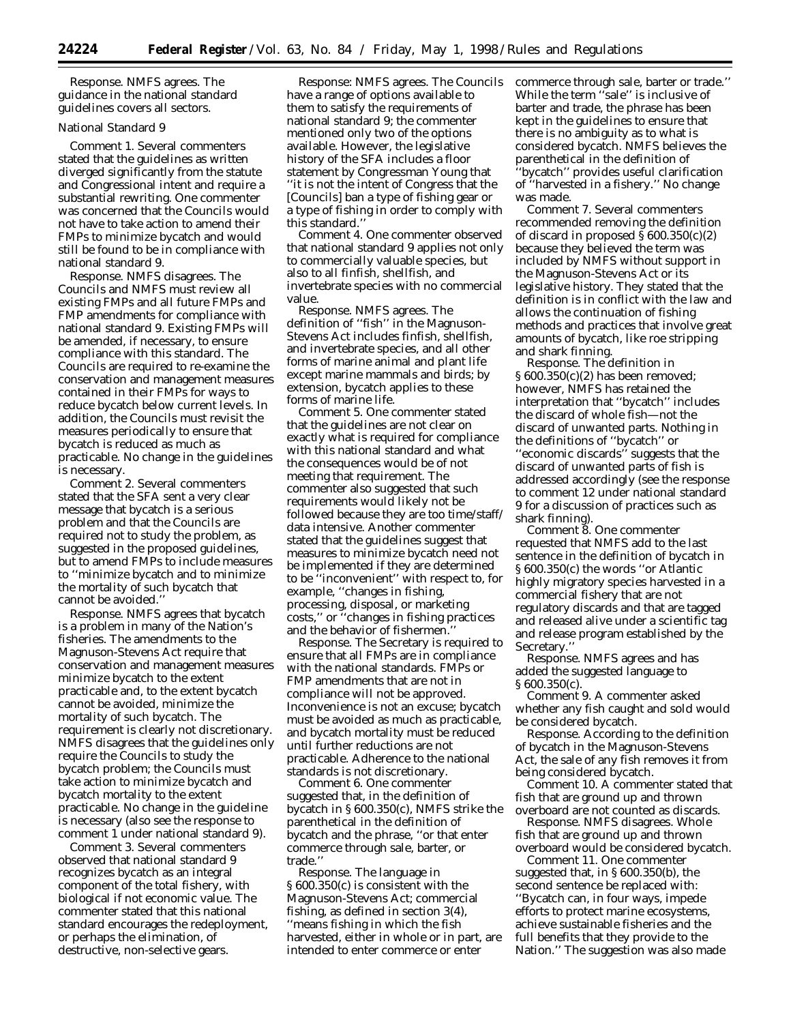*Response*. NMFS agrees. The guidance in the national standard guidelines covers all sectors.

# National Standard 9

*Comment 1*. Several commenters stated that the guidelines as written diverged significantly from the statute and Congressional intent and require a substantial rewriting. One commenter was concerned that the Councils would not have to take action to amend their FMPs to minimize bycatch and would still be found to be in compliance with national standard 9.

*Response*. NMFS disagrees. The Councils and NMFS must review all existing FMPs and all future FMPs and FMP amendments for compliance with national standard 9. Existing FMPs will be amended, if necessary, to ensure compliance with this standard. The Councils are required to re-examine the conservation and management measures contained in their FMPs for ways to reduce bycatch below current levels. In addition, the Councils must revisit the measures periodically to ensure that bycatch is reduced as much as practicable. No change in the guidelines is necessary.

*Comment 2*. Several commenters stated that the SFA sent a very clear message that bycatch is a serious problem and that the Councils are required not to study the problem, as suggested in the proposed guidelines, but to amend FMPs to include measures to ''minimize bycatch and to minimize the mortality of such bycatch that cannot be avoided.''

*Response*. NMFS agrees that bycatch is a problem in many of the Nation's fisheries. The amendments to the Magnuson-Stevens Act require that conservation and management measures minimize bycatch to the extent practicable and, to the extent bycatch cannot be avoided, minimize the mortality of such bycatch. The requirement is clearly not discretionary. NMFS disagrees that the guidelines only require the Councils to study the bycatch problem; the Councils must take action to minimize bycatch and bycatch mortality to the extent practicable. No change in the guideline is necessary (also see the response to comment 1 under national standard 9).

*Comment 3*. Several commenters observed that national standard 9 recognizes bycatch as an integral component of the total fishery, with biological if not economic value. The commenter stated that this national standard encourages the redeployment, or perhaps the elimination, of destructive, non-selective gears.

*Response*: NMFS agrees. The Councils have a range of options available to them to satisfy the requirements of national standard 9; the commenter mentioned only two of the options available. However, the legislative history of the SFA includes a floor statement by Congressman Young that ''it is not the intent of Congress that the [Councils] ban a type of fishing gear or a type of fishing in order to comply with this standard.''

*Comment 4*. One commenter observed that national standard 9 applies not only to commercially valuable species, but also to all finfish, shellfish, and invertebrate species with no commercial value.

*Response*. NMFS agrees. The definition of ''fish'' in the Magnuson-Stevens Act includes finfish, shellfish, and invertebrate species, and all other forms of marine animal and plant life except marine mammals and birds; by extension, bycatch applies to these forms of marine life.

*Comment 5*. One commenter stated that the guidelines are not clear on exactly what is required for compliance with this national standard and what the consequences would be of not meeting that requirement. The commenter also suggested that such requirements would likely not be followed because they are too time/staff/ data intensive. Another commenter stated that the guidelines suggest that measures to minimize bycatch need not be implemented if they are determined to be ''inconvenient'' with respect to, for example, ''changes in fishing, processing, disposal, or marketing costs,'' or ''changes in fishing practices and the behavior of fishermen.''

*Response*. The Secretary is required to ensure that all FMPs are in compliance with the national standards. FMPs or FMP amendments that are not in compliance will not be approved. Inconvenience is not an excuse; bycatch must be avoided as much as practicable, and bycatch mortality must be reduced until further reductions are not practicable. Adherence to the national standards is not discretionary.

*Comment 6*. One commenter suggested that, in the definition of bycatch in § 600.350(c), NMFS strike the parenthetical in the definition of bycatch and the phrase, ''or that enter commerce through sale, barter, or trade.''

*Response*. The language in § 600.350(c) is consistent with the Magnuson-Stevens Act; commercial fishing, as defined in section 3(4), ''means fishing in which the fish harvested, either in whole or in part, are intended to enter commerce or enter

commerce through sale, barter or trade.'' While the term ''sale'' is inclusive of barter and trade, the phrase has been kept in the guidelines to ensure that there is no ambiguity as to what is considered bycatch. NMFS believes the parenthetical in the definition of ''bycatch'' provides useful clarification of ''harvested in a fishery.'' No change was made.

*Comment 7*. Several commenters recommended removing the definition of discard in proposed  $\S 600.350(c)(2)$ because they believed the term was included by NMFS without support in the Magnuson-Stevens Act or its legislative history. They stated that the definition is in conflict with the law and allows the continuation of fishing methods and practices that involve great amounts of bycatch, like roe stripping and shark finning.

*Response*. The definition in § 600.350(c)(2) has been removed; however, NMFS has retained the interpretation that ''bycatch'' includes the discard of whole fish—not the discard of unwanted parts. Nothing in the definitions of ''bycatch'' or ''economic discards'' suggests that the discard of unwanted parts of fish is addressed accordingly (see the response to comment 12 under national standard 9 for a discussion of practices such as shark finning).

*Comment 8*. One commenter requested that NMFS add to the last sentence in the definition of bycatch in § 600.350(c) the words ''or Atlantic highly migratory species harvested in a commercial fishery that are not regulatory discards and that are tagged and released alive under a scientific tag and release program established by the Secretary.''

*Response*. NMFS agrees and has added the suggested language to § 600.350(c).

*Comment 9*. A commenter asked whether any fish caught and sold would be considered bycatch.

*Response*. According to the definition of bycatch in the Magnuson-Stevens Act, the sale of any fish removes it from being considered bycatch.

*Comment 10*. A commenter stated that fish that are ground up and thrown overboard are not counted as discards.

*Response*. NMFS disagrees. Whole fish that are ground up and thrown overboard would be considered bycatch.

*Comment* 11. One commenter suggested that, in § 600.350(b), the second sentence be replaced with: ''Bycatch can, in four ways, impede efforts to protect marine ecosystems, achieve sustainable fisheries and the full benefits that they provide to the Nation.'' The suggestion was also made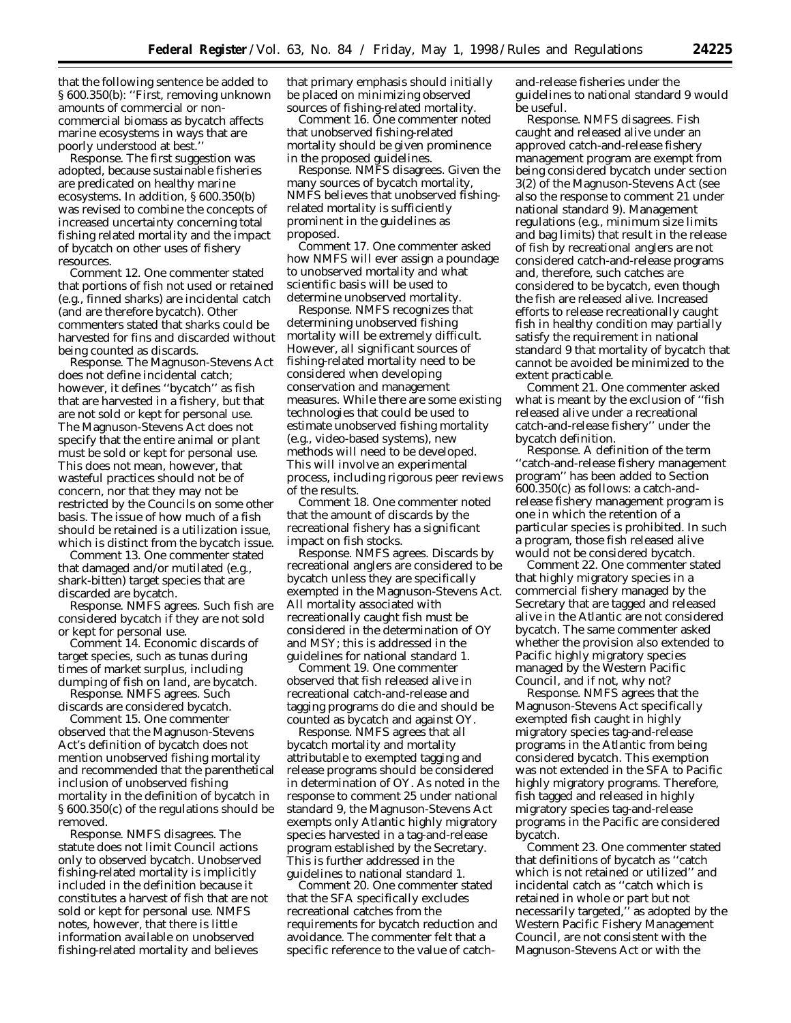that the following sentence be added to § 600.350(b): ''First, removing unknown amounts of commercial or noncommercial biomass as bycatch affects marine ecosystems in ways that are poorly understood at best.''

*Response*. The first suggestion was adopted, because sustainable fisheries are predicated on healthy marine ecosystems. In addition, § 600.350(b) was revised to combine the concepts of increased uncertainty concerning total fishing related mortality and the impact of bycatch on other uses of fishery resources.

*Comment 12*. One commenter stated that portions of fish not used or retained (e.g., finned sharks) are incidental catch (and are therefore bycatch). Other commenters stated that sharks could be harvested for fins and discarded without being counted as discards.

*Response*. The Magnuson-Stevens Act does not define incidental catch; however, it defines ''bycatch'' as fish that are harvested in a fishery, but that are not sold or kept for personal use. The Magnuson-Stevens Act does not specify that the entire animal or plant must be sold or kept for personal use. This does not mean, however, that wasteful practices should not be of concern, nor that they may not be restricted by the Councils on some other basis. The issue of how much of a fish should be retained is a utilization issue, which is distinct from the bycatch issue.

*Comment 13*. One commenter stated that damaged and/or mutilated (e.g., shark-bitten) target species that are discarded are bycatch.

*Response*. NMFS agrees. Such fish are considered bycatch if they are not sold or kept for personal use.

*Comment 14*. Economic discards of target species, such as tunas during times of market surplus, including dumping of fish on land, are bycatch.

*Response*. NMFS agrees. Such discards are considered bycatch.

*Comment 15*. One commenter observed that the Magnuson-Stevens Act's definition of bycatch does not mention unobserved fishing mortality and recommended that the parenthetical inclusion of unobserved fishing mortality in the definition of bycatch in § 600.350(c) of the regulations should be removed.

*Response*. NMFS disagrees. The statute does not limit Council actions only to observed bycatch. Unobserved fishing-related mortality is implicitly included in the definition because it constitutes a harvest of fish that are not sold or kept for personal use. NMFS notes, however, that there is little information available on unobserved fishing-related mortality and believes

that primary emphasis should initially be placed on minimizing observed sources of fishing-related mortality.

*Comment 16*. One commenter noted that unobserved fishing-related mortality should be given prominence in the proposed guidelines.

*Response*. NMFS disagrees. Given the many sources of bycatch mortality, NMFS believes that unobserved fishingrelated mortality is sufficiently prominent in the guidelines as proposed.

*Comment 17*. One commenter asked how NMFS will ever assign a poundage to unobserved mortality and what scientific basis will be used to determine unobserved mortality.

*Response*. NMFS recognizes that determining unobserved fishing mortality will be extremely difficult. However, all significant sources of fishing-related mortality need to be considered when developing conservation and management measures. While there are some existing technologies that could be used to estimate unobserved fishing mortality (e.g., video-based systems), new methods will need to be developed. This will involve an experimental process, including rigorous peer reviews of the results.

*Comment 18*. One commenter noted that the amount of discards by the recreational fishery has a significant impact on fish stocks.

*Response*. NMFS agrees. Discards by recreational anglers are considered to be bycatch unless they are specifically exempted in the Magnuson-Stevens Act. All mortality associated with recreationally caught fish must be considered in the determination of OY and MSY; this is addressed in the guidelines for national standard 1.

*Comment 19*. One commenter observed that fish released alive in recreational catch-and-release and tagging programs do die and should be counted as bycatch and against OY.

*Response*. NMFS agrees that all bycatch mortality and mortality attributable to exempted tagging and release programs should be considered in determination of OY. As noted in the response to comment 25 under national standard 9, the Magnuson-Stevens Act exempts only Atlantic highly migratory species harvested in a tag-and-release program established by the Secretary. This is further addressed in the guidelines to national standard 1.

*Comment 20*. One commenter stated that the SFA specifically excludes recreational catches from the requirements for bycatch reduction and avoidance. The commenter felt that a specific reference to the value of catchand-release fisheries under the guidelines to national standard 9 would be useful.

*Response*. NMFS disagrees. Fish caught and released alive under an approved catch-and-release fishery management program are exempt from being considered bycatch under section 3(2) of the Magnuson-Stevens Act (see also the response to comment 21 under national standard 9). Management regulations (e.g., minimum size limits and bag limits) that result in the release of fish by recreational anglers are not considered catch-and-release programs and, therefore, such catches are considered to be bycatch, even though the fish are released alive. Increased efforts to release recreationally caught fish in healthy condition may partially satisfy the requirement in national standard 9 that mortality of bycatch that cannot be avoided be minimized to the extent practicable.

*Comment 21*. One commenter asked what is meant by the exclusion of ''fish released alive under a recreational catch-and-release fishery'' under the bycatch definition.

*Response*. A definition of the term ''catch-and-release fishery management program'' has been added to Section 600.350(c) as follows: a catch-andrelease fishery management program is one in which the retention of a particular species is prohibited. In such a program, those fish released alive would not be considered bycatch.

*Comment 22*. One commenter stated that highly migratory species in a commercial fishery managed by the Secretary that are tagged and released alive in the Atlantic are not considered bycatch. The same commenter asked whether the provision also extended to Pacific highly migratory species managed by the Western Pacific Council, and if not, why not?

*Response*. NMFS agrees that the Magnuson-Stevens Act specifically exempted fish caught in highly migratory species tag-and-release programs in the Atlantic from being considered bycatch. This exemption was not extended in the SFA to Pacific highly migratory programs. Therefore, fish tagged and released in highly migratory species tag-and-release programs in the Pacific are considered bycatch.

*Comment 23*. One commenter stated that definitions of bycatch as ''catch which is not retained or utilized'' and incidental catch as ''catch which is retained in whole or part but not necessarily targeted,'' as adopted by the Western Pacific Fishery Management Council, are not consistent with the Magnuson-Stevens Act or with the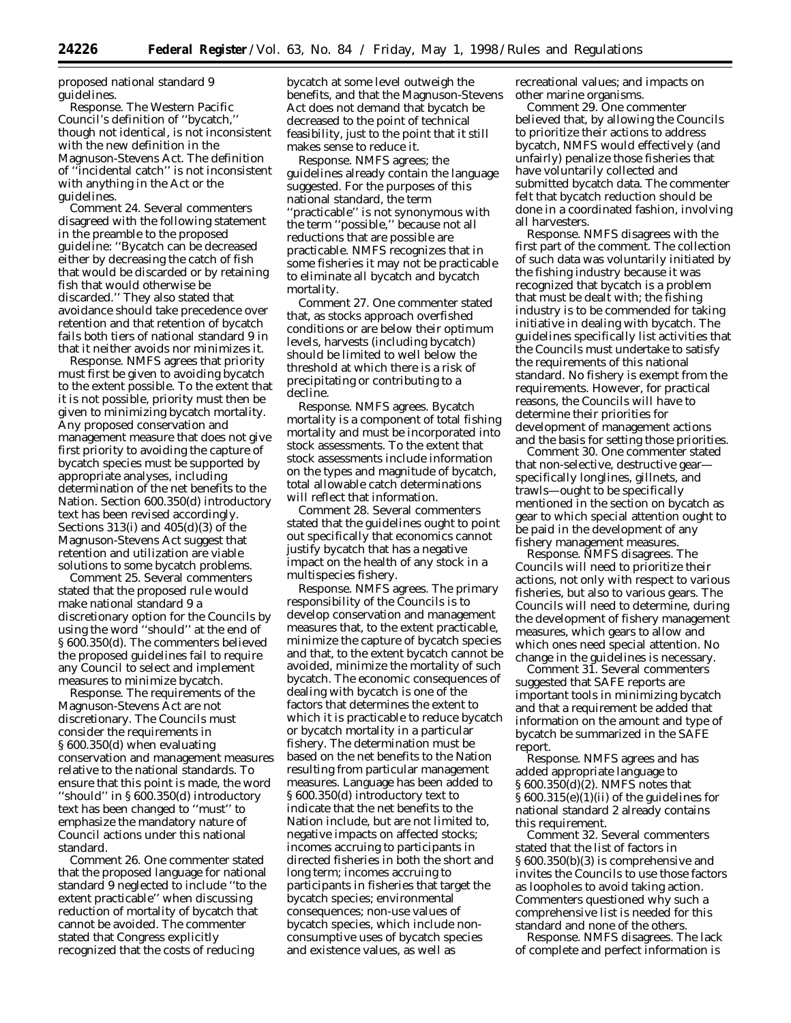proposed national standard 9 guidelines.

*Response*. The Western Pacific Council's definition of ''bycatch,'' though not identical, is not inconsistent with the new definition in the Magnuson-Stevens Act. The definition of ''incidental catch'' is not inconsistent with anything in the Act or the guidelines.

*Comment 24*. Several commenters disagreed with the following statement in the preamble to the proposed guideline: ''Bycatch can be decreased either by decreasing the catch of fish that would be discarded or by retaining fish that would otherwise be discarded.'' They also stated that avoidance should take precedence over retention and that retention of bycatch fails both tiers of national standard 9 in that it neither avoids nor minimizes it.

*Response*. NMFS agrees that priority must first be given to avoiding bycatch to the extent possible. To the extent that it is not possible, priority must then be given to minimizing bycatch mortality. Any proposed conservation and management measure that does not give first priority to avoiding the capture of bycatch species must be supported by appropriate analyses, including determination of the net benefits to the Nation. Section 600.350(d) introductory text has been revised accordingly. Sections 313(i) and 405(d)(3) of the Magnuson-Stevens Act suggest that retention and utilization are viable solutions to some bycatch problems.

*Comment 25*. Several commenters stated that the proposed rule would make national standard 9 a discretionary option for the Councils by using the word ''should'' at the end of § 600.350(d). The commenters believed the proposed guidelines fail to require any Council to select and implement measures to minimize bycatch.

*Response*. The requirements of the Magnuson-Stevens Act are not discretionary. The Councils must consider the requirements in § 600.350(d) when evaluating conservation and management measures relative to the national standards. To ensure that this point is made, the word ''should'' in § 600.350(d) introductory text has been changed to ''must'' to emphasize the mandatory nature of Council actions under this national standard.

*Comment 26*. One commenter stated that the proposed language for national standard 9 neglected to include ''to the extent practicable'' when discussing reduction of mortality of bycatch that cannot be avoided. The commenter stated that Congress explicitly recognized that the costs of reducing

bycatch at some level outweigh the benefits, and that the Magnuson-Stevens Act does not demand that bycatch be decreased to the point of technical feasibility, just to the point that it still makes sense to reduce it.

*Response*. NMFS agrees; the guidelines already contain the language suggested. For the purposes of this national standard, the term ''practicable'' is not synonymous with the term ''possible,'' because not all reductions that are possible are practicable. NMFS recognizes that in some fisheries it may not be practicable to eliminate all bycatch and bycatch mortality.

*Comment 27*. One commenter stated that, as stocks approach overfished conditions or are below their optimum levels, harvests (including bycatch) should be limited to well below the threshold at which there is a risk of precipitating or contributing to a decline.

*Response*. NMFS agrees. Bycatch mortality is a component of total fishing mortality and must be incorporated into stock assessments. To the extent that stock assessments include information on the types and magnitude of bycatch, total allowable catch determinations will reflect that information.

*Comment 28*. Several commenters stated that the guidelines ought to point out specifically that economics cannot justify bycatch that has a negative impact on the health of any stock in a multispecies fishery.

*Response*. NMFS agrees. The primary responsibility of the Councils is to develop conservation and management measures that, to the extent practicable, minimize the capture of bycatch species and that, to the extent bycatch cannot be avoided, minimize the mortality of such bycatch. The economic consequences of dealing with bycatch is one of the factors that determines the extent to which it is practicable to reduce bycatch or bycatch mortality in a particular fishery. The determination must be based on the net benefits to the Nation resulting from particular management measures. Language has been added to § 600.350(d) introductory text to indicate that the net benefits to the Nation include, but are not limited to, negative impacts on affected stocks; incomes accruing to participants in directed fisheries in both the short and long term; incomes accruing to participants in fisheries that target the bycatch species; environmental consequences; non-use values of bycatch species, which include nonconsumptive uses of bycatch species and existence values, as well as

recreational values; and impacts on other marine organisms.

*Comment 29*. One commenter believed that, by allowing the Councils to prioritize their actions to address bycatch, NMFS would effectively (and unfairly) penalize those fisheries that have voluntarily collected and submitted bycatch data. The commenter felt that bycatch reduction should be done in a coordinated fashion, involving all harvesters.

*Response*. NMFS disagrees with the first part of the comment. The collection of such data was voluntarily initiated by the fishing industry because it was recognized that bycatch is a problem that must be dealt with; the fishing industry is to be commended for taking initiative in dealing with bycatch. The guidelines specifically list activities that the Councils must undertake to satisfy the requirements of this national standard. No fishery is exempt from the requirements. However, for practical reasons, the Councils will have to determine their priorities for development of management actions and the basis for setting those priorities.

*Comment 30*. One commenter stated that non-selective, destructive gear specifically longlines, gillnets, and trawls—ought to be specifically mentioned in the section on bycatch as gear to which special attention ought to be paid in the development of any fishery management measures.

*Response*. NMFS disagrees. The Councils will need to prioritize their actions, not only with respect to various fisheries, but also to various gears. The Councils will need to determine, during the development of fishery management measures, which gears to allow and which ones need special attention. No change in the guidelines is necessary.

*Comment 31*. Several commenters suggested that SAFE reports are important tools in minimizing bycatch and that a requirement be added that information on the amount and type of bycatch be summarized in the SAFE report.

*Response*. NMFS agrees and has added appropriate language to § 600.350(d)(2). NMFS notes that § 600.315(e)(1)(ii) of the guidelines for national standard 2 already contains this requirement.

*Comment 32*. Several commenters stated that the list of factors in § 600.350(b)(3) is comprehensive and invites the Councils to use those factors as loopholes to avoid taking action. Commenters questioned why such a comprehensive list is needed for this standard and none of the others.

*Response*. NMFS disagrees. The lack of complete and perfect information is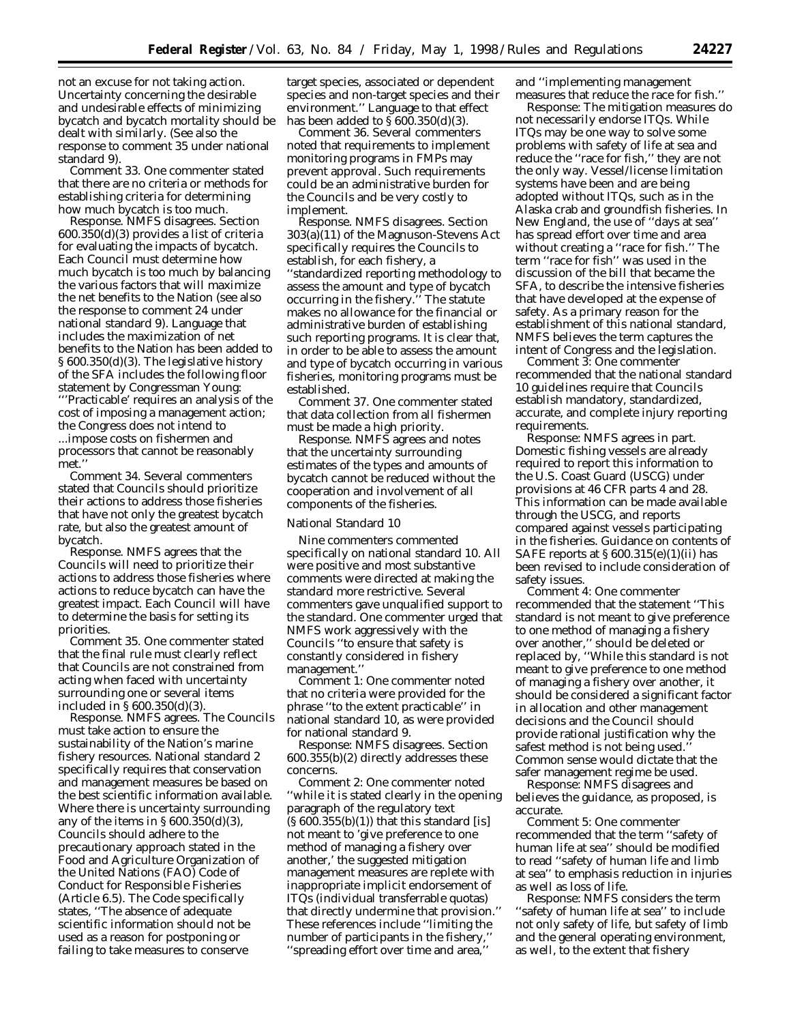not an excuse for not taking action. Uncertainty concerning the desirable and undesirable effects of minimizing bycatch and bycatch mortality should be dealt with similarly. (See also the response to comment 35 under national standard 9).

*Comment 33*. One commenter stated that there are no criteria or methods for establishing criteria for determining how much bycatch is too much.

*Response*. NMFS disagrees. Section 600.350(d)(3) provides a list of criteria for evaluating the impacts of bycatch. Each Council must determine how much bycatch is too much by balancing the various factors that will maximize the net benefits to the Nation (see also the response to comment 24 under national standard 9). Language that includes the maximization of net benefits to the Nation has been added to § 600.350(d)(3). The legislative history of the SFA includes the following floor statement by Congressman Young: "'Practicable' requires an analysis of the

cost of imposing a management action; the Congress does not intend to ...impose costs on fishermen and processors that cannot be reasonably met.'

*Comment 34*. Several commenters stated that Councils should prioritize their actions to address those fisheries that have not only the greatest bycatch rate, but also the greatest amount of bycatch.

*Response*. NMFS agrees that the Councils will need to prioritize their actions to address those fisheries where actions to reduce bycatch can have the greatest impact. Each Council will have to determine the basis for setting its priorities.

*Comment 35*. One commenter stated that the final rule must clearly reflect that Councils are not constrained from acting when faced with uncertainty surrounding one or several items included in § 600.350(d)(3).

*Response*. NMFS agrees. The Councils must take action to ensure the sustainability of the Nation's marine fishery resources. National standard 2 specifically requires that conservation and management measures be based on the best scientific information available. Where there is uncertainty surrounding any of the items in  $\S 600.350(d)(3)$ , Councils should adhere to the precautionary approach stated in the Food and Agriculture Organization of the United Nations (FAO) Code of Conduct for Responsible Fisheries (Article 6.5). The Code specifically states, ''The absence of adequate scientific information should not be used as a reason for postponing or failing to take measures to conserve

target species, associated or dependent species and non-target species and their environment.'' Language to that effect has been added to  $\S 600.350(d)(3)$ .

*Comment 36*. Several commenters noted that requirements to implement monitoring programs in FMPs may prevent approval. Such requirements could be an administrative burden for the Councils and be very costly to implement.

*Response*. NMFS disagrees. Section 303(a)(11) of the Magnuson-Stevens Act specifically requires the Councils to establish, for each fishery, a ''standardized reporting methodology to assess the amount and type of bycatch occurring in the fishery.'' The statute makes no allowance for the financial or administrative burden of establishing such reporting programs. It is clear that, in order to be able to assess the amount and type of bycatch occurring in various fisheries, monitoring programs must be established.

*Comment 37*. One commenter stated that data collection from all fishermen must be made a high priority.

*Response*. NMFS agrees and notes that the uncertainty surrounding estimates of the types and amounts of bycatch cannot be reduced without the cooperation and involvement of all components of the fisheries.

### National Standard 10

Nine commenters commented specifically on national standard 10. All were positive and most substantive comments were directed at making the standard more restrictive. Several commenters gave unqualified support to the standard. One commenter urged that NMFS work aggressively with the Councils ''to ensure that safety is constantly considered in fishery management.''

*Comment 1*: One commenter noted that no criteria were provided for the phrase ''to the extent practicable'' in national standard 10, as were provided for national standard 9.

*Response*: NMFS disagrees. Section 600.355(b)(2) directly addresses these concerns.

*Comment 2*: One commenter noted ''while it is stated clearly in the opening paragraph of the regulatory text  $(S600.355(b)(1))$  that this standard [is] not meant to 'give preference to one method of managing a fishery over another,' the suggested mitigation management measures are replete with inappropriate implicit endorsement of ITQs (individual transferrable quotas) that directly undermine that provision.'' These references include ''limiting the number of participants in the fishery,'' ''spreading effort over time and area,''

and ''implementing management measures that reduce the race for fish.''

*Response*: The mitigation measures do not necessarily endorse ITQs. While ITQs may be one way to solve some problems with safety of life at sea and reduce the ''race for fish,'' they are not the only way. Vessel/license limitation systems have been and are being adopted without ITQs, such as in the Alaska crab and groundfish fisheries. In New England, the use of ''days at sea'' has spread effort over time and area without creating a "race for fish." The term ''race for fish'' was used in the discussion of the bill that became the SFA, to describe the intensive fisheries that have developed at the expense of safety. As a primary reason for the establishment of this national standard, NMFS believes the term captures the intent of Congress and the legislation.

*Comment 3*: One commenter recommended that the national standard 10 guidelines require that Councils establish mandatory, standardized, accurate, and complete injury reporting requirements.

*Response*: NMFS agrees in part. Domestic fishing vessels are already required to report this information to the U.S. Coast Guard (USCG) under provisions at 46 CFR parts 4 and 28. This information can be made available through the USCG, and reports compared against vessels participating in the fisheries. Guidance on contents of SAFE reports at  $\S 600.315(e)(1)(ii)$  has been revised to include consideration of safety issues.

*Comment 4*: One commenter recommended that the statement ''This standard is not meant to give preference to one method of managing a fishery over another,'' should be deleted or replaced by, ''While this standard is not meant to give preference to one method of managing a fishery over another, it should be considered a significant factor in allocation and other management decisions and the Council should provide rational justification why the safest method is not being used.'' Common sense would dictate that the safer management regime be used.

*Response*: NMFS disagrees and believes the guidance, as proposed, is accurate.

*Comment 5*: One commenter recommended that the term ''safety of human life at sea'' should be modified to read ''safety of human life and limb at sea'' to emphasis reduction in injuries as well as loss of life.

*Response*: NMFS considers the term ''safety of human life at sea'' to include not only safety of life, but safety of limb and the general operating environment, as well, to the extent that fishery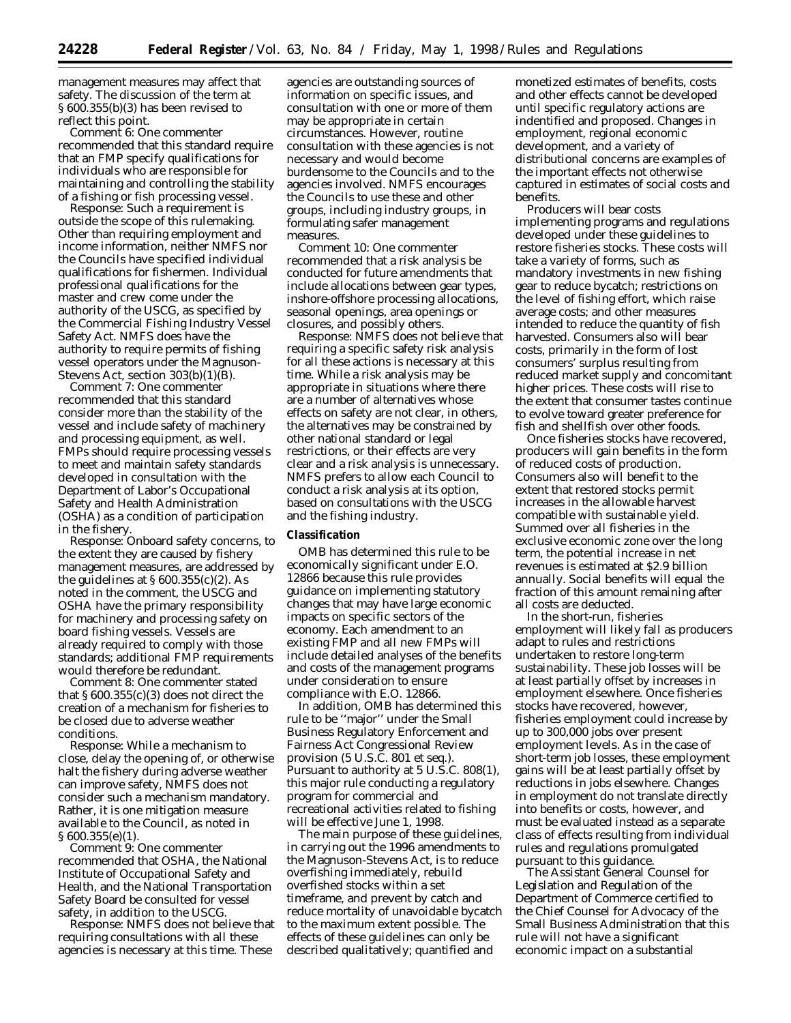management measures may affect that safety. The discussion of the term at § 600.355(b)(3) has been revised to reflect this point.

*Comment 6*: One commenter recommended that this standard require that an FMP specify qualifications for individuals who are responsible for maintaining and controlling the stability of a fishing or fish processing vessel.

*Response*: Such a requirement is outside the scope of this rulemaking. Other than requiring employment and income information, neither NMFS nor the Councils have specified individual qualifications for fishermen. Individual professional qualifications for the master and crew come under the authority of the USCG, as specified by the Commercial Fishing Industry Vessel Safety Act. NMFS does have the authority to require permits of fishing vessel operators under the Magnuson-Stevens Act, section  $303(b)(1)(B)$ .

*Comment 7*: One commenter recommended that this standard consider more than the stability of the vessel and include safety of machinery and processing equipment, as well. FMPs should require processing vessels to meet and maintain safety standards developed in consultation with the Department of Labor's Occupational Safety and Health Administration (OSHA) as a condition of participation in the fishery.

*Response*: Onboard safety concerns, to the extent they are caused by fishery management measures, are addressed by the guidelines at  $\S 600.355(c)(2)$ . As noted in the comment, the USCG and OSHA have the primary responsibility for machinery and processing safety on board fishing vessels. Vessels are already required to comply with those standards; additional FMP requirements would therefore be redundant.

*Comment 8*: One commenter stated that  $\S 600.355(c)(3)$  does not direct the creation of a mechanism for fisheries to be closed due to adverse weather conditions.

*Response*: While a mechanism to close, delay the opening of, or otherwise halt the fishery during adverse weather can improve safety, NMFS does not consider such a mechanism mandatory. Rather, it is one mitigation measure available to the Council, as noted in § 600.355(e)(1).

*Comment 9*: One commenter recommended that OSHA, the National Institute of Occupational Safety and Health, and the National Transportation Safety Board be consulted for vessel safety, in addition to the USCG.

*Response*: NMFS does not believe that requiring consultations with all these agencies is necessary at this time. These

agencies are outstanding sources of information on specific issues, and consultation with one or more of them may be appropriate in certain circumstances. However, routine consultation with these agencies is not necessary and would become burdensome to the Councils and to the agencies involved. NMFS encourages the Councils to use these and other groups, including industry groups, in formulating safer management measures.

*Comment 10*: One commenter recommended that a risk analysis be conducted for future amendments that include allocations between gear types, inshore-offshore processing allocations, seasonal openings, area openings or closures, and possibly others.

*Response*: NMFS does not believe that requiring a specific safety risk analysis for all these actions is necessary at this time. While a risk analysis may be appropriate in situations where there are a number of alternatives whose effects on safety are not clear, in others, the alternatives may be constrained by other national standard or legal restrictions, or their effects are very clear and a risk analysis is unnecessary. NMFS prefers to allow each Council to conduct a risk analysis at its option, based on consultations with the USCG and the fishing industry.

## **Classification**

OMB has determined this rule to be economically significant under E.O. 12866 because this rule provides guidance on implementing statutory changes that may have large economic impacts on specific sectors of the economy. Each amendment to an existing FMP and all new FMPs will include detailed analyses of the benefits and costs of the management programs under consideration to ensure compliance with E.O. 12866.

In addition, OMB has determined this rule to be ''major'' under the Small Business Regulatory Enforcement and Fairness Act Congressional Review provision (5 U.S.C. 801 *et seq*.). Pursuant to authority at 5 U.S.C. 808(1), this major rule conducting a regulatory program for commercial and recreational activities related to fishing will be effective June 1, 1998.

The main purpose of these guidelines, in carrying out the 1996 amendments to the Magnuson-Stevens Act, is to reduce overfishing immediately, rebuild overfished stocks within a set timeframe, and prevent by catch and reduce mortality of unavoidable bycatch to the maximum extent possible. The effects of these guidelines can only be described qualitatively; quantified and

monetized estimates of benefits, costs and other effects cannot be developed until specific regulatory actions are indentified and proposed. Changes in employment, regional economic development, and a variety of distributional concerns are examples of the important effects not otherwise captured in estimates of social costs and benefits.

Producers will bear costs implementing programs and regulations developed under these guidelines to restore fisheries stocks. These costs will take a variety of forms, such as mandatory investments in new fishing gear to reduce bycatch; restrictions on the level of fishing effort, which raise average costs; and other measures intended to reduce the quantity of fish harvested. Consumers also will bear costs, primarily in the form of lost consumers' surplus resulting from reduced market supply and concomitant higher prices. These costs will rise to the extent that consumer tastes continue to evolve toward greater preference for fish and shellfish over other foods.

Once fisheries stocks have recovered, producers will gain benefits in the form of reduced costs of production. Consumers also will benefit to the extent that restored stocks permit increases in the allowable harvest compatible with sustainable yield. Summed over all fisheries in the exclusive economic zone over the long term, the potential increase in net revenues is estimated at \$2.9 billion annually. Social benefits will equal the fraction of this amount remaining after all costs are deducted.

In the short-run, fisheries employment will likely fall as producers adapt to rules and restrictions undertaken to restore long-term sustainability. These job losses will be at least partially offset by increases in employment elsewhere. Once fisheries stocks have recovered, however, fisheries employment could increase by up to 300,000 jobs over present employment levels. As in the case of short-term job losses, these employment gains will be at least partially offset by reductions in jobs elsewhere. Changes in employment do not translate directly into benefits or costs, however, and must be evaluated instead as a separate class of effects resulting from individual rules and regulations promulgated pursuant to this guidance.

The Assistant General Counsel for Legislation and Regulation of the Department of Commerce certified to the Chief Counsel for Advocacy of the Small Business Administration that this rule will not have a significant economic impact on a substantial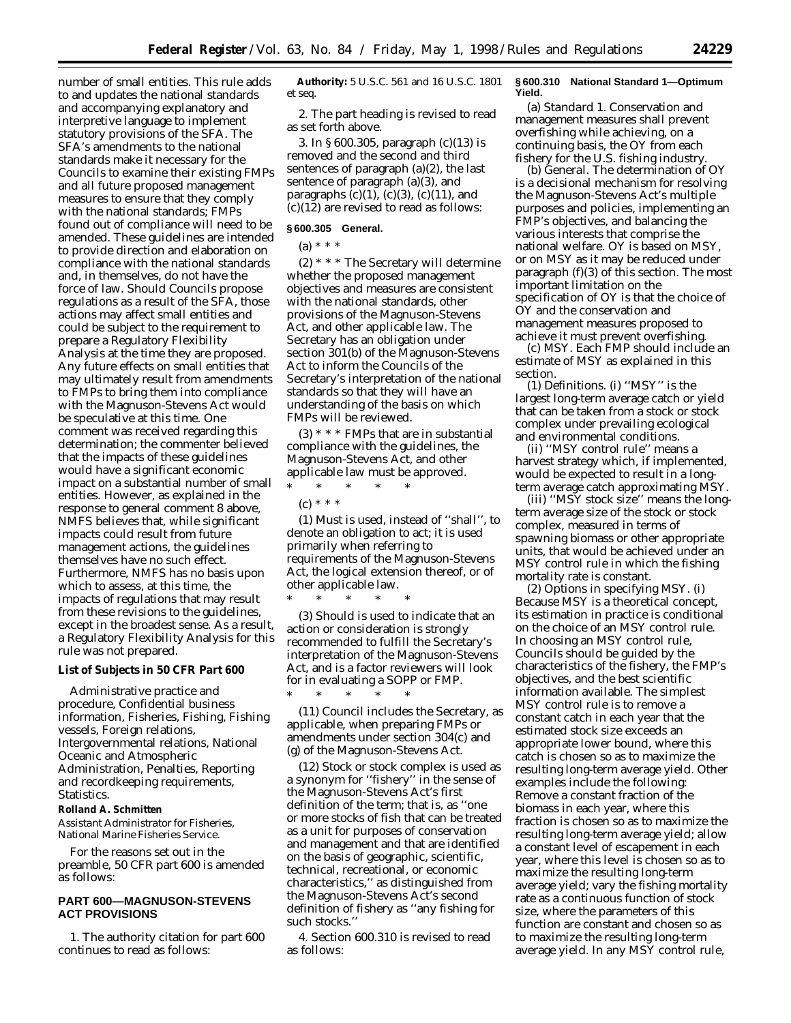number of small entities. This rule adds to and updates the national standards and accompanying explanatory and interpretive language to implement statutory provisions of the SFA. The SFA's amendments to the national standards make it necessary for the Councils to examine their existing FMPs and all future proposed management measures to ensure that they comply with the national standards; FMPs found out of compliance will need to be amended. These guidelines are intended to provide direction and elaboration on compliance with the national standards and, in themselves, do not have the force of law. Should Councils propose regulations as a result of the SFA, those actions may affect small entities and could be subject to the requirement to prepare a Regulatory Flexibility Analysis at the time they are proposed. Any future effects on small entities that may ultimately result from amendments to FMPs to bring them into compliance with the Magnuson-Stevens Act would be speculative at this time. One comment was received regarding this determination; the commenter believed that the impacts of these guidelines would have a significant economic impact on a substantial number of small entities. However, as explained in the response to general comment 8 above, NMFS believes that, while significant impacts could result from future management actions, the guidelines themselves have no such effect. Furthermore, NMFS has no basis upon which to assess, at this time, the impacts of regulations that may result from these revisions to the guidelines, except in the broadest sense. As a result, a Regulatory Flexibility Analysis for this rule was not prepared.

#### **List of Subjects in 50 CFR Part 600**

Administrative practice and procedure, Confidential business information, Fisheries, Fishing, Fishing vessels, Foreign relations, Intergovernmental relations, National Oceanic and Atmospheric Administration, Penalties, Reporting and recordkeeping requirements, Statistics.

## **Rolland A. Schmitten**

*Assistant Administrator for Fisheries, National Marine Fisheries Service.*

For the reasons set out in the preamble, 50 CFR part 600 is amended as follows:

# **PART 600—MAGNUSON-STEVENS ACT PROVISIONS**

1. The authority citation for part 600 continues to read as follows:

**Authority:** 5 U.S.C. 561 and 16 U.S.C. 1801 *et seq*.

2. The part heading is revised to read as set forth above.

3. In § 600.305, paragraph (c)(13) is removed and the second and third sentences of paragraph (a)(2), the last sentence of paragraph (a)(3), and paragraphs  $(c)(1)$ ,  $(c)(3)$ ,  $(c)(11)$ , and (c)(12) are revised to read as follows:

# **§ 600.305 General.**

(a) \* \* \*

(2) \* \* \* The Secretary will determine whether the proposed management objectives and measures are consistent with the national standards, other provisions of the Magnuson-Stevens Act, and other applicable law. The Secretary has an obligation under section 301(b) of the Magnuson-Stevens Act to inform the Councils of the Secretary's interpretation of the national standards so that they will have an understanding of the basis on which FMPs will be reviewed.

(3) \* \* \* FMPs that are in substantial compliance with the guidelines, the Magnuson-Stevens Act, and other applicable law must be approved.

\* \* \* \* \*

\* \* \* \* \*

(c) \* \* \*

(1) *Must* is used, instead of ''shall'', to denote an obligation to act; it is used primarily when referring to requirements of the Magnuson-Stevens Act, the logical extension thereof, or of other applicable law.

(3) *Should* is used to indicate that an action or consideration is strongly recommended to fulfill the Secretary's interpretation of the Magnuson-Stevens Act, and is a factor reviewers will look for in evaluating a SOPP or FMP. \* \* \* \* \*

(11) *Council* includes the Secretary, as applicable, when preparing FMPs or amendments under section 304(c) and (g) of the Magnuson-Stevens Act.

(12) *Stock or stock complex* is used as a synonym for ''fishery'' in the sense of the Magnuson-Stevens Act's first definition of the term; that is, as ''one or more stocks of fish that can be treated as a unit for purposes of conservation and management and that are identified on the basis of geographic, scientific, technical, recreational, or economic characteristics,'' as distinguished from the Magnuson-Stevens Act's second definition of fishery as ''any fishing for such stocks.''

4. Section 600.310 is revised to read as follows:

### **§ 600.310 National Standard 1—Optimum Yield.**

(a) *Standard 1*. Conservation and management measures shall prevent overfishing while achieving, on a continuing basis, the OY from each fishery for the U.S. fishing industry.

(b) *General*. The determination of OY is a decisional mechanism for resolving the Magnuson-Stevens Act's multiple purposes and policies, implementing an FMP's objectives, and balancing the various interests that comprise the national welfare. OY is based on MSY, or on MSY as it may be reduced under paragraph (f)(3) of this section. The most important limitation on the specification of OY is that the choice of OY and the conservation and management measures proposed to achieve it must prevent overfishing.

(c) *MSY*. Each FMP should include an estimate of MSY as explained in this section.

(1) *Definitions*. (i) ''MSY'' is the largest long-term average catch or yield that can be taken from a stock or stock complex under prevailing ecological and environmental conditions.

(ii) ''MSY control rule'' means a harvest strategy which, if implemented, would be expected to result in a longterm average catch approximating MSY.

(iii) ''MSY stock size'' means the longterm average size of the stock or stock complex, measured in terms of spawning biomass or other appropriate units, that would be achieved under an MSY control rule in which the fishing mortality rate is constant.

(2) *Options in specifying MSY*. (i) Because MSY is a theoretical concept, its estimation in practice is conditional on the choice of an MSY control rule. In choosing an MSY control rule, Councils should be guided by the characteristics of the fishery, the FMP's objectives, and the best scientific information available. The simplest MSY control rule is to remove a constant catch in each year that the estimated stock size exceeds an appropriate lower bound, where this catch is chosen so as to maximize the resulting long-term average yield. Other examples include the following: Remove a constant fraction of the biomass in each year, where this fraction is chosen so as to maximize the resulting long-term average yield; allow a constant level of escapement in each year, where this level is chosen so as to maximize the resulting long-term average yield; vary the fishing mortality rate as a continuous function of stock size, where the parameters of this function are constant and chosen so as to maximize the resulting long-term average yield. In any MSY control rule,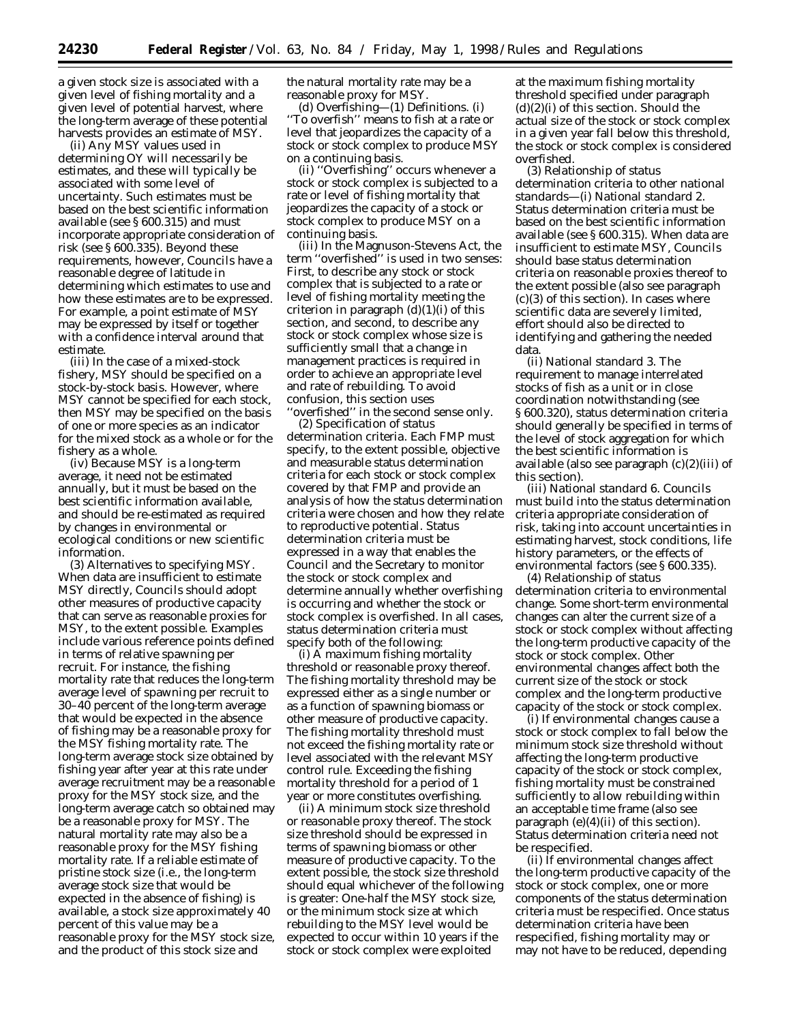a given stock size is associated with a given level of fishing mortality and a given level of potential harvest, where the long-term average of these potential harvests provides an estimate of MSY.

(ii) Any MSY values used in determining OY will necessarily be estimates, and these will typically be associated with some level of uncertainty. Such estimates must be based on the best scientific information available (see § 600.315) and must incorporate appropriate consideration of risk (see § 600.335). Beyond these requirements, however, Councils have a reasonable degree of latitude in determining which estimates to use and how these estimates are to be expressed. For example, a point estimate of MSY may be expressed by itself or together with a confidence interval around that estimate.

(iii) In the case of a mixed-stock fishery, MSY should be specified on a stock-by-stock basis. However, where MSY cannot be specified for each stock, then MSY may be specified on the basis of one or more species as an indicator for the mixed stock as a whole or for the fishery as a whole.

(iv) Because MSY is a long-term average, it need not be estimated annually, but it must be based on the best scientific information available, and should be re-estimated as required by changes in environmental or ecological conditions or new scientific information.

(3) *Alternatives to specifying MSY*. When data are insufficient to estimate MSY directly, Councils should adopt other measures of productive capacity that can serve as reasonable proxies for MSY, to the extent possible. Examples include various reference points defined in terms of relative spawning per recruit. For instance, the fishing mortality rate that reduces the long-term average level of spawning per recruit to 30–40 percent of the long-term average that would be expected in the absence of fishing may be a reasonable proxy for the MSY fishing mortality rate. The long-term average stock size obtained by fishing year after year at this rate under average recruitment may be a reasonable proxy for the MSY stock size, and the long-term average catch so obtained may be a reasonable proxy for MSY. The natural mortality rate may also be a reasonable proxy for the MSY fishing mortality rate. If a reliable estimate of pristine stock size (i.e., the long-term average stock size that would be expected in the absence of fishing) is available, a stock size approximately 40 percent of this value may be a reasonable proxy for the MSY stock size, and the product of this stock size and

the natural mortality rate may be a reasonable proxy for MSY.

(d) *Overfishing*—(1) *Definitions*. (i) ''To overfish'' means to fish at a rate or level that jeopardizes the capacity of a stock or stock complex to produce MSY on a continuing basis.

(ii) ''Overfishing'' occurs whenever a stock or stock complex is subjected to a rate or level of fishing mortality that jeopardizes the capacity of a stock or stock complex to produce MSY on a continuing basis.

(iii) In the Magnuson-Stevens Act, the term ''overfished'' is used in two senses: First, to describe any stock or stock complex that is subjected to a rate or level of fishing mortality meeting the criterion in paragraph  $(d)(1)(i)$  of this section, and second, to describe any stock or stock complex whose size is sufficiently small that a change in management practices is required in order to achieve an appropriate level and rate of rebuilding. To avoid confusion, this section uses 'overfished'' in the second sense only.

(2) *Specification of status determination criteria*. Each FMP must specify, to the extent possible, objective and measurable status determination criteria for each stock or stock complex covered by that FMP and provide an analysis of how the status determination criteria were chosen and how they relate to reproductive potential. Status determination criteria must be expressed in a way that enables the Council and the Secretary to monitor the stock or stock complex and determine annually whether overfishing is occurring and whether the stock or stock complex is overfished. In all cases, status determination criteria must specify both of the following:

(i) *A maximum fishing mortality threshold or reasonable proxy thereof*. The fishing mortality threshold may be expressed either as a single number or as a function of spawning biomass or other measure of productive capacity. The fishing mortality threshold must not exceed the fishing mortality rate or level associated with the relevant MSY control rule. Exceeding the fishing mortality threshold for a period of 1 year or more constitutes overfishing.

(ii) *A minimum stock size threshold or reasonable proxy thereof*. The stock size threshold should be expressed in terms of spawning biomass or other measure of productive capacity. To the extent possible, the stock size threshold should equal whichever of the following is greater: One-half the MSY stock size, or the minimum stock size at which rebuilding to the MSY level would be expected to occur within 10 years if the stock or stock complex were exploited

at the maximum fishing mortality threshold specified under paragraph  $(d)(2)(i)$  of this section. Should the actual size of the stock or stock complex in a given year fall below this threshold, the stock or stock complex is considered overfished.

(3) *Relationship of status determination criteria to other national standards*—(i) *National standard 2*. Status determination criteria must be based on the best scientific information available (see § 600.315). When data are insufficient to estimate MSY, Councils should base status determination criteria on reasonable proxies thereof to the extent possible (also see paragraph  $(c)(3)$  of this section). In cases where scientific data are severely limited, effort should also be directed to identifying and gathering the needed data.

(ii) *National standard 3*. The requirement to manage interrelated stocks of fish as a unit or in close coordination notwithstanding (see § 600.320), status determination criteria should generally be specified in terms of the level of stock aggregation for which the best scientific information is available (also see paragraph (c)(2)(iii) of this section).

(iii) *National standard 6*. Councils must build into the status determination criteria appropriate consideration of risk, taking into account uncertainties in estimating harvest, stock conditions, life history parameters, or the effects of environmental factors (see § 600.335).

(4) *Relationship of status determination criteria to environmental change*. Some short-term environmental changes can alter the current size of a stock or stock complex without affecting the long-term productive capacity of the stock or stock complex. Other environmental changes affect both the current size of the stock or stock complex and the long-term productive capacity of the stock or stock complex.

(i) If environmental changes cause a stock or stock complex to fall below the minimum stock size threshold without affecting the long-term productive capacity of the stock or stock complex, fishing mortality must be constrained sufficiently to allow rebuilding within an acceptable time frame (also see paragraph  $(e)(4)(ii)$  of this section). Status determination criteria need not be respecified.

(ii) If environmental changes affect the long-term productive capacity of the stock or stock complex, one or more components of the status determination criteria must be respecified. Once status determination criteria have been respecified, fishing mortality may or may not have to be reduced, depending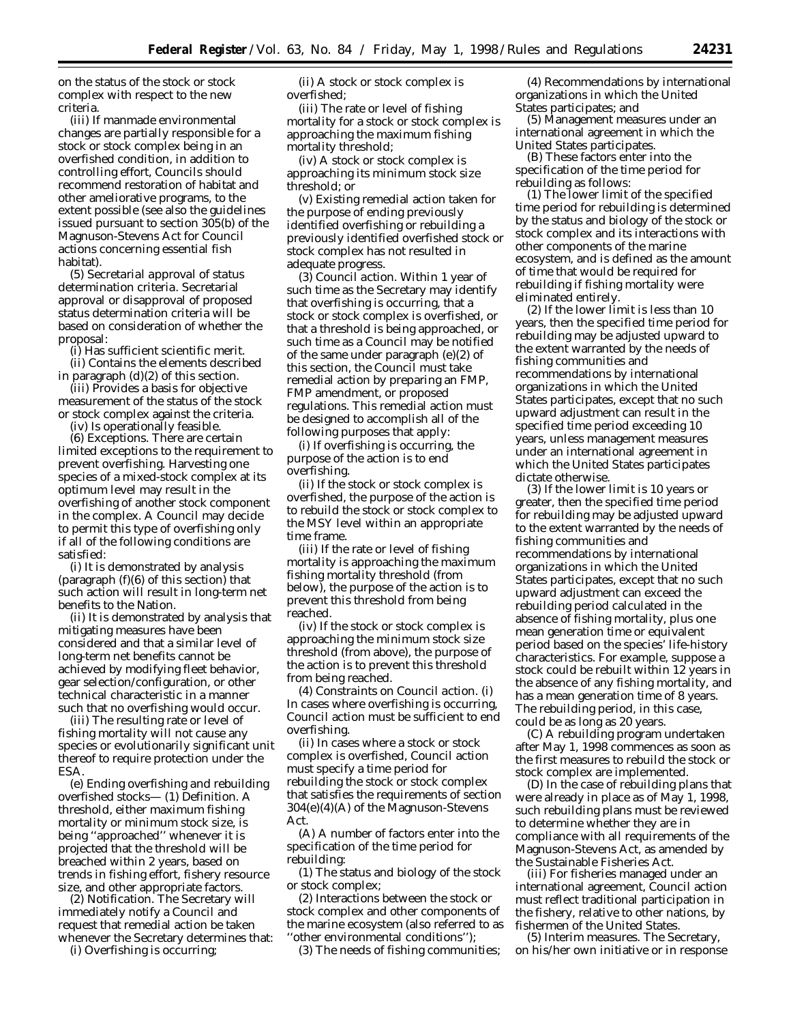on the status of the stock or stock complex with respect to the new criteria.

(iii) If manmade environmental changes are partially responsible for a stock or stock complex being in an overfished condition, in addition to controlling effort, Councils should recommend restoration of habitat and other ameliorative programs, to the extent possible (see also the guidelines issued pursuant to section 305(b) of the Magnuson-Stevens Act for Council actions concerning essential fish habitat).

(5) *Secretarial approval of status determination criteria*. Secretarial approval or disapproval of proposed status determination criteria will be based on consideration of whether the proposal:

(i) Has sufficient scientific merit.

(ii) Contains the elements described in paragraph (d)(2) of this section.

(iii) Provides a basis for objective measurement of the status of the stock or stock complex against the criteria.

(iv) Is operationally feasible.

(6) *Exceptions*. There are certain limited exceptions to the requirement to prevent overfishing. Harvesting one species of a mixed-stock complex at its optimum level may result in the overfishing of another stock component in the complex. A Council may decide to permit this type of overfishing only if all of the following conditions are satisfied:

(i) It is demonstrated by analysis (paragraph  $(f)(6)$  of this section) that such action will result in long-term net benefits to the Nation.

(ii) It is demonstrated by analysis that mitigating measures have been considered and that a similar level of long-term net benefits cannot be achieved by modifying fleet behavior, gear selection/configuration, or other technical characteristic in a manner such that no overfishing would occur.

(iii) The resulting rate or level of fishing mortality will not cause any species or evolutionarily significant unit thereof to require protection under the ESA.

(e) *Ending overfishing and rebuilding overfished stocks*— (1) *Definition*. A threshold, either maximum fishing mortality or minimum stock size, is being ''approached'' whenever it is projected that the threshold will be breached within 2 years, based on trends in fishing effort, fishery resource size, and other appropriate factors.

(2) *Notification*. The Secretary will immediately notify a Council and request that remedial action be taken whenever the Secretary determines that:

(i) Overfishing is occurring;

(ii) A stock or stock complex is overfished;

(iii) The rate or level of fishing mortality for a stock or stock complex is approaching the maximum fishing mortality threshold;

(iv) A stock or stock complex is approaching its minimum stock size threshold; or

(v) Existing remedial action taken for the purpose of ending previously identified overfishing or rebuilding a previously identified overfished stock or stock complex has not resulted in adequate progress.

(3) *Council action*. Within 1 year of such time as the Secretary may identify that overfishing is occurring, that a stock or stock complex is overfished, or that a threshold is being approached, or such time as a Council may be notified of the same under paragraph (e)(2) of this section, the Council must take remedial action by preparing an FMP, FMP amendment, or proposed regulations. This remedial action must be designed to accomplish all of the following purposes that apply:

(i) If overfishing is occurring, the purpose of the action is to end overfishing.

(ii) If the stock or stock complex is overfished, the purpose of the action is to rebuild the stock or stock complex to the MSY level within an appropriate time frame.

(iii) If the rate or level of fishing mortality is approaching the maximum fishing mortality threshold (from below), the purpose of the action is to prevent this threshold from being reached.

(iv) If the stock or stock complex is approaching the minimum stock size threshold (from above), the purpose of the action is to prevent this threshold from being reached.

(4) *Constraints on Council action*. (i) In cases where overfishing is occurring, Council action must be sufficient to end overfishing.

(ii) In cases where a stock or stock complex is overfished, Council action must specify a time period for rebuilding the stock or stock complex that satisfies the requirements of section 304(e)(4)(A) of the Magnuson-Stevens Act.

(A) A number of factors enter into the specification of the time period for rebuilding:

(*1*) The status and biology of the stock or stock complex;

(*2*) Interactions between the stock or stock complex and other components of the marine ecosystem (also referred to as ''other environmental conditions'');

(*3*) The needs of fishing communities;

(*4*) Recommendations by international organizations in which the United States participates; and

(*5*) Management measures under an international agreement in which the United States participates.

(B) These factors enter into the specification of the time period for rebuilding as follows:

(*1*) The lower limit of the specified time period for rebuilding is determined by the status and biology of the stock or stock complex and its interactions with other components of the marine ecosystem, and is defined as the amount of time that would be required for rebuilding if fishing mortality were eliminated entirely.

(*2*) If the lower limit is less than 10 years, then the specified time period for rebuilding may be adjusted upward to the extent warranted by the needs of fishing communities and recommendations by international organizations in which the United States participates, except that no such upward adjustment can result in the specified time period exceeding 10 years, unless management measures under an international agreement in which the United States participates dictate otherwise.

(*3*) If the lower limit is 10 years or greater, then the specified time period for rebuilding may be adjusted upward to the extent warranted by the needs of fishing communities and recommendations by international organizations in which the United States participates, except that no such upward adjustment can exceed the rebuilding period calculated in the absence of fishing mortality, plus one mean generation time or equivalent period based on the species' life-history characteristics. For example, suppose a stock could be rebuilt within 12 years in the absence of any fishing mortality, and has a mean generation time of 8 years. The rebuilding period, in this case, could be as long as 20 years.

(C) A rebuilding program undertaken after May 1, 1998 commences as soon as the first measures to rebuild the stock or stock complex are implemented.

(D) In the case of rebuilding plans that were already in place as of May 1, 1998, such rebuilding plans must be reviewed to determine whether they are in compliance with all requirements of the Magnuson-Stevens Act, as amended by the Sustainable Fisheries Act.

(iii) For fisheries managed under an international agreement, Council action must reflect traditional participation in the fishery, relative to other nations, by fishermen of the United States.

(5) *Interim measures*. The Secretary, on his/her own initiative or in response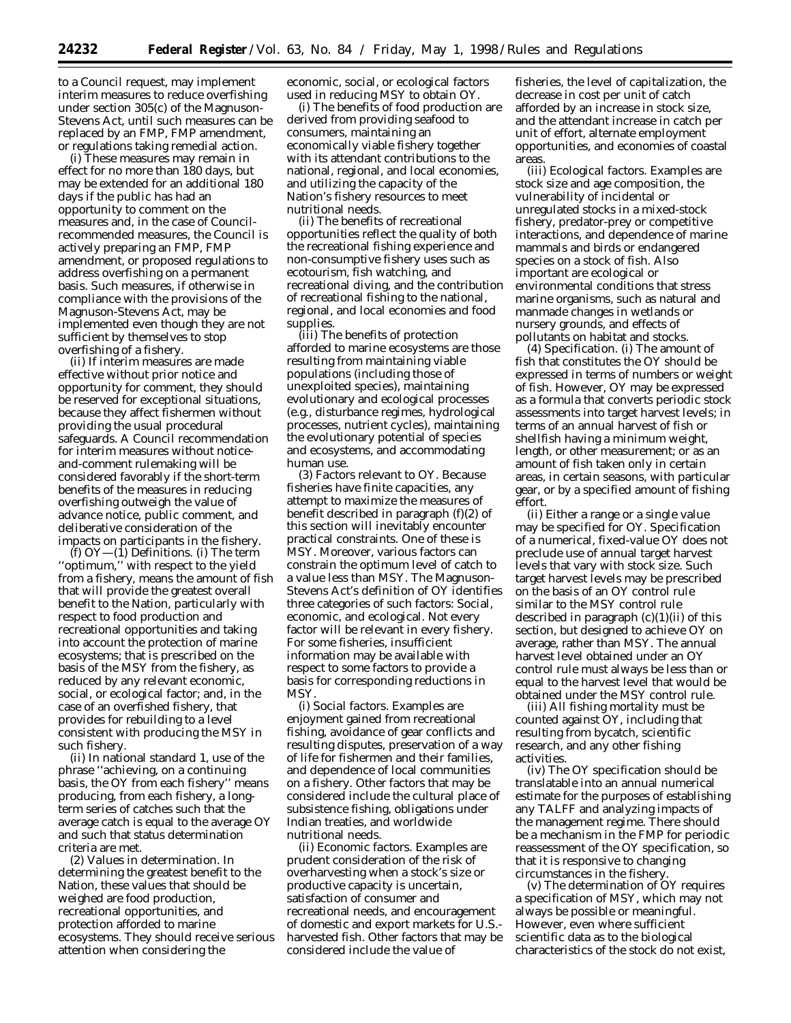to a Council request, may implement interim measures to reduce overfishing under section 305(c) of the Magnuson-Stevens Act, until such measures can be replaced by an FMP, FMP amendment, or regulations taking remedial action.

(i) These measures may remain in effect for no more than 180 days, but may be extended for an additional 180 days if the public has had an opportunity to comment on the measures and, in the case of Councilrecommended measures, the Council is actively preparing an FMP, FMP amendment, or proposed regulations to address overfishing on a permanent basis. Such measures, if otherwise in compliance with the provisions of the Magnuson-Stevens Act, may be implemented even though they are not sufficient by themselves to stop overfishing of a fishery.

(ii) If interim measures are made effective without prior notice and opportunity for comment, they should be reserved for exceptional situations, because they affect fishermen without providing the usual procedural safeguards. A Council recommendation for interim measures without noticeand-comment rulemaking will be considered favorably if the short-term benefits of the measures in reducing overfishing outweigh the value of advance notice, public comment, and deliberative consideration of the impacts on participants in the fishery.

(f) *OY*—(1) *Definitions*. (i) The term ''optimum,'' with respect to the yield from a fishery, means the amount of fish that will provide the greatest overall benefit to the Nation, particularly with respect to food production and recreational opportunities and taking into account the protection of marine ecosystems; that is prescribed on the basis of the MSY from the fishery, as reduced by any relevant economic, social, or ecological factor; and, in the case of an overfished fishery, that provides for rebuilding to a level consistent with producing the MSY in such fishery.

(ii) In national standard 1, use of the phrase ''achieving, on a continuing basis, the OY from each fishery'' means producing, from each fishery, a longterm series of catches such that the average catch is equal to the average OY and such that status determination criteria are met.

(2) *Values in determination*. In determining the greatest benefit to the Nation, these values that should be weighed are food production, recreational opportunities, and protection afforded to marine ecosystems. They should receive serious attention when considering the

economic, social, or ecological factors used in reducing MSY to obtain OY.

(i) The benefits of food production are derived from providing seafood to consumers, maintaining an economically viable fishery together with its attendant contributions to the national, regional, and local economies, and utilizing the capacity of the Nation's fishery resources to meet nutritional needs.

(ii) The benefits of recreational opportunities reflect the quality of both the recreational fishing experience and non-consumptive fishery uses such as ecotourism, fish watching, and recreational diving, and the contribution of recreational fishing to the national, regional, and local economies and food supplies.

(iii) The benefits of protection afforded to marine ecosystems are those resulting from maintaining viable populations (including those of unexploited species), maintaining evolutionary and ecological processes (e.g., disturbance regimes, hydrological processes, nutrient cycles), maintaining the evolutionary potential of species and ecosystems, and accommodating human use.

(3) *Factors relevant to OY*. Because fisheries have finite capacities, any attempt to maximize the measures of benefit described in paragraph (f)(2) of this section will inevitably encounter practical constraints. One of these is MSY. Moreover, various factors can constrain the optimum level of catch to a value less than MSY. The Magnuson-Stevens Act's definition of OY identifies three categories of such factors: Social, economic, and ecological. Not every factor will be relevant in every fishery. For some fisheries, insufficient information may be available with respect to some factors to provide a basis for corresponding reductions in **MSY** 

(i) *Social factors*. Examples are enjoyment gained from recreational fishing, avoidance of gear conflicts and resulting disputes, preservation of a way of life for fishermen and their families, and dependence of local communities on a fishery. Other factors that may be considered include the cultural place of subsistence fishing, obligations under Indian treaties, and worldwide nutritional needs.

(ii) *Economic factors*. Examples are prudent consideration of the risk of overharvesting when a stock's size or productive capacity is uncertain, satisfaction of consumer and recreational needs, and encouragement of domestic and export markets for U.S. harvested fish. Other factors that may be considered include the value of

fisheries, the level of capitalization, the decrease in cost per unit of catch afforded by an increase in stock size, and the attendant increase in catch per unit of effort, alternate employment opportunities, and economies of coastal areas.

(iii) *Ecological factors*. Examples are stock size and age composition, the vulnerability of incidental or unregulated stocks in a mixed-stock fishery, predator-prey or competitive interactions, and dependence of marine mammals and birds or endangered species on a stock of fish. Also important are ecological or environmental conditions that stress marine organisms, such as natural and manmade changes in wetlands or nursery grounds, and effects of pollutants on habitat and stocks.

(4) *Specification*. (i) The amount of fish that constitutes the OY should be expressed in terms of numbers or weight of fish. However, OY may be expressed as a formula that converts periodic stock assessments into target harvest levels; in terms of an annual harvest of fish or shellfish having a minimum weight, length, or other measurement; or as an amount of fish taken only in certain areas, in certain seasons, with particular gear, or by a specified amount of fishing effort.

(ii) Either a range or a single value may be specified for OY. Specification of a numerical, fixed-value OY does not preclude use of annual target harvest levels that vary with stock size. Such target harvest levels may be prescribed on the basis of an OY control rule similar to the MSY control rule described in paragraph  $(c)(1)(ii)$  of this section, but designed to achieve OY on average, rather than MSY. The annual harvest level obtained under an OY control rule must always be less than or equal to the harvest level that would be obtained under the MSY control rule.

(iii) All fishing mortality must be counted against OY, including that resulting from bycatch, scientific research, and any other fishing activities.

(iv) The OY specification should be translatable into an annual numerical estimate for the purposes of establishing any TALFF and analyzing impacts of the management regime. There should be a mechanism in the FMP for periodic reassessment of the OY specification, so that it is responsive to changing circumstances in the fishery.

(v) The determination of OY requires a specification of MSY, which may not always be possible or meaningful. However, even where sufficient scientific data as to the biological characteristics of the stock do not exist,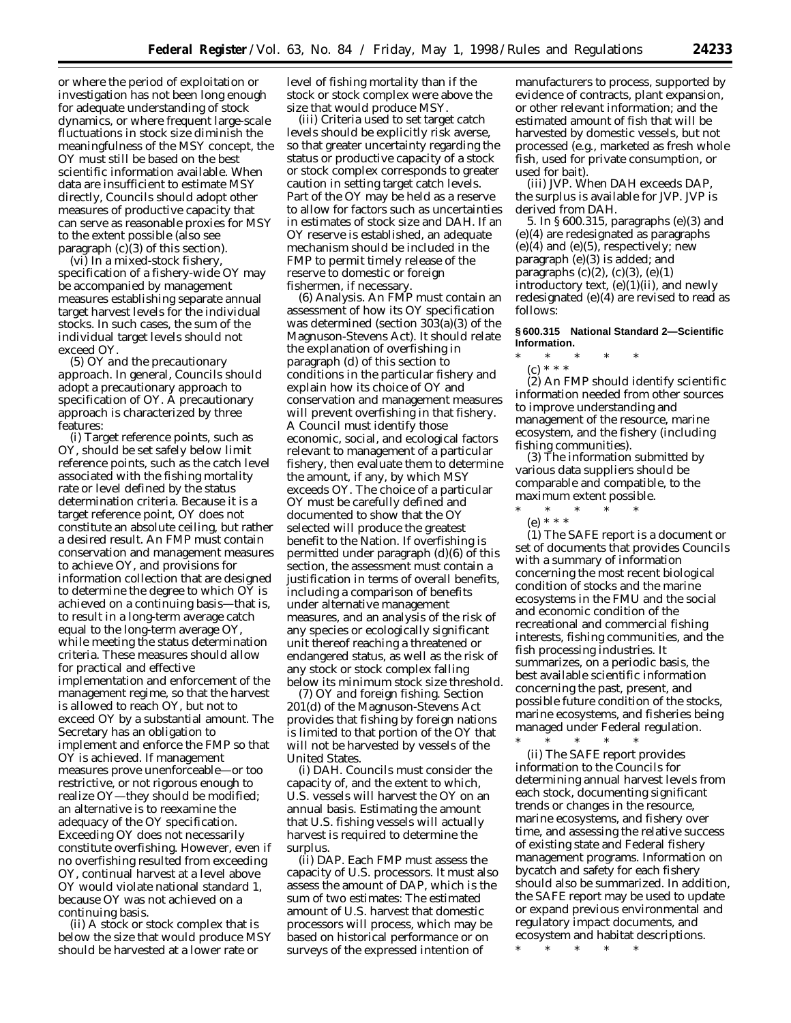or where the period of exploitation or investigation has not been long enough for adequate understanding of stock dynamics, or where frequent large-scale fluctuations in stock size diminish the meaningfulness of the MSY concept, the OY must still be based on the best scientific information available. When data are insufficient to estimate MSY directly, Councils should adopt other measures of productive capacity that can serve as reasonable proxies for MSY to the extent possible (also see paragraph (c)(3) of this section).

(vi) In a mixed-stock fishery, specification of a fishery-wide OY may be accompanied by management measures establishing separate annual target harvest levels for the individual stocks. In such cases, the sum of the individual target levels should not exceed OY.

(5) *OY and the precautionary approach*. In general, Councils should adopt a precautionary approach to specification of OY. A precautionary approach is characterized by three features:

(i) Target reference points, such as OY, should be set safely below limit reference points, such as the catch level associated with the fishing mortality rate or level defined by the status determination criteria. Because it is a target reference point, OY does not constitute an absolute ceiling, but rather a desired result. An FMP must contain conservation and management measures to achieve OY, and provisions for information collection that are designed to determine the degree to which OY is achieved on a continuing basis—that is, to result in a long-term average catch equal to the long-term average OY, while meeting the status determination criteria. These measures should allow for practical and effective implementation and enforcement of the management regime, so that the harvest is allowed to reach OY, but not to exceed OY by a substantial amount. The Secretary has an obligation to implement and enforce the FMP so that OY is achieved. If management measures prove unenforceable—or too restrictive, or not rigorous enough to realize OY—they should be modified; an alternative is to reexamine the adequacy of the OY specification. Exceeding OY does not necessarily constitute overfishing. However, even if no overfishing resulted from exceeding OY, continual harvest at a level above OY would violate national standard 1, because OY was not achieved on a continuing basis.

(ii) A stock or stock complex that is below the size that would produce MSY should be harvested at a lower rate or

level of fishing mortality than if the stock or stock complex were above the size that would produce MSY.

(iii) Criteria used to set target catch levels should be explicitly risk averse, so that greater uncertainty regarding the status or productive capacity of a stock or stock complex corresponds to greater caution in setting target catch levels. Part of the OY may be held as a reserve to allow for factors such as uncertainties in estimates of stock size and DAH. If an OY reserve is established, an adequate mechanism should be included in the FMP to permit timely release of the reserve to domestic or foreign fishermen, if necessary.

(6) *Analysis*. An FMP must contain an assessment of how its OY specification was determined (section 303(a)(3) of the Magnuson-Stevens Act). It should relate the explanation of overfishing in paragraph (d) of this section to conditions in the particular fishery and explain how its choice of OY and conservation and management measures will prevent overfishing in that fishery. A Council must identify those economic, social, and ecological factors relevant to management of a particular fishery, then evaluate them to determine the amount, if any, by which MSY exceeds OY. The choice of a particular OY must be carefully defined and documented to show that the OY selected will produce the greatest benefit to the Nation. If overfishing is permitted under paragraph (d)(6) of this section, the assessment must contain a justification in terms of overall benefits, including a comparison of benefits under alternative management measures, and an analysis of the risk of any species or ecologically significant unit thereof reaching a threatened or endangered status, as well as the risk of any stock or stock complex falling below its minimum stock size threshold.

(7) *OY and foreign fishing*. Section 201(d) of the Magnuson-Stevens Act provides that fishing by foreign nations is limited to that portion of the OY that will not be harvested by vessels of the United States.

(i) *DAH*. Councils must consider the capacity of, and the extent to which, U.S. vessels will harvest the OY on an annual basis. Estimating the amount that U.S. fishing vessels will actually harvest is required to determine the surplus.

(ii) *DAP*. Each FMP must assess the capacity of U.S. processors. It must also assess the amount of DAP, which is the sum of two estimates: The estimated amount of U.S. harvest that domestic processors will process, which may be based on historical performance or on surveys of the expressed intention of

manufacturers to process, supported by evidence of contracts, plant expansion, or other relevant information; and the estimated amount of fish that will be harvested by domestic vessels, but not processed (e.g., marketed as fresh whole fish, used for private consumption, or used for bait).

(iii) *JVP*. When DAH exceeds DAP, the surplus is available for JVP. JVP is derived from DAH.

5. In § 600.315, paragraphs (e)(3) and (e)(4) are redesignated as paragraphs  $(e)(4)$  and  $(e)(5)$ , respectively; new paragraph (e)(3) is added; and paragraphs  $(c)(2)$ ,  $(c)(3)$ ,  $(e)(1)$ introductory text,  $(e)(1)(ii)$ , and newly redesignated (e)(4) are revised to read as follows:

### **§ 600.315 National Standard 2—Scientific Information.**

- \* \* \* \* \*
- (c) \* \* \*

(2) An FMP should identify scientific information needed from other sources to improve understanding and management of the resource, marine ecosystem, and the fishery (including fishing communities).

(3) The information submitted by various data suppliers should be comparable and compatible, to the maximum extent possible.

 $*$  \* \*

(e) \* \* \* (1) The SAFE report is a document or set of documents that provides Councils with a summary of information concerning the most recent biological condition of stocks and the marine ecosystems in the FMU and the social and economic condition of the recreational and commercial fishing interests, fishing communities, and the fish processing industries. It summarizes, on a periodic basis, the

best available scientific information concerning the past, present, and possible future condition of the stocks, marine ecosystems, and fisheries being managed under Federal regulation.

 $*$  \* \* (ii) The SAFE report provides information to the Councils for determining annual harvest levels from each stock, documenting significant trends or changes in the resource, marine ecosystems, and fishery over time, and assessing the relative success of existing state and Federal fishery management programs. Information on bycatch and safety for each fishery should also be summarized. In addition, the SAFE report may be used to update or expand previous environmental and regulatory impact documents, and ecosystem and habitat descriptions.

\* \* \* \* \*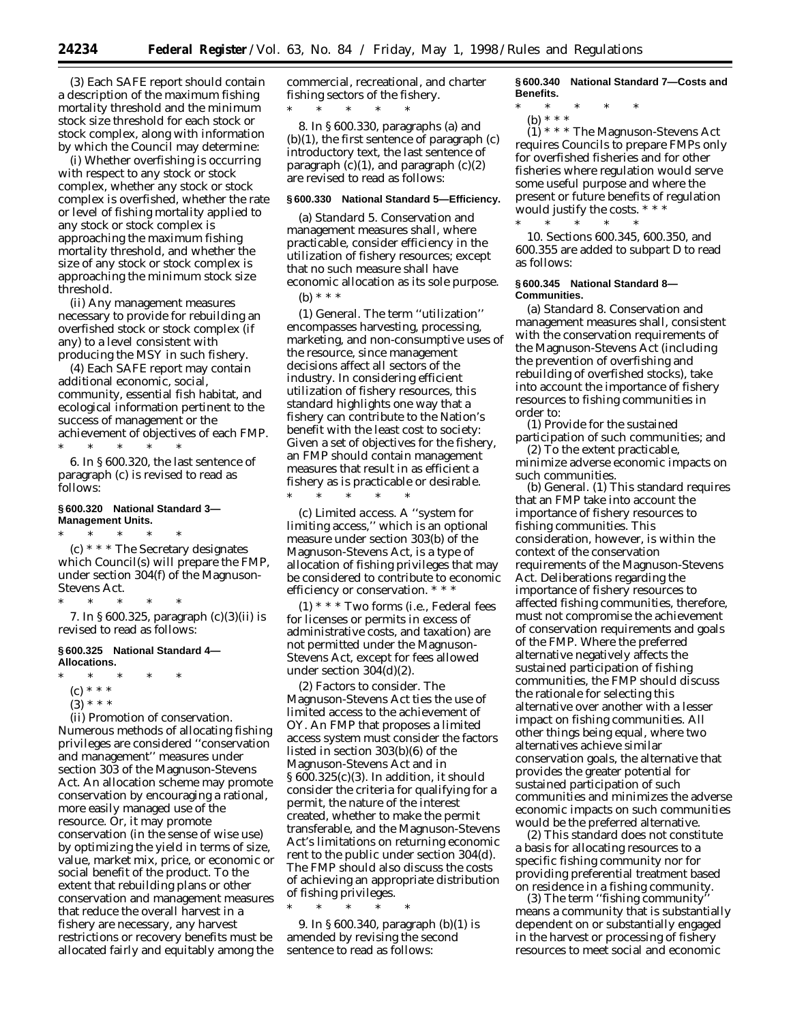(3) Each SAFE report should contain a description of the maximum fishing mortality threshold and the minimum stock size threshold for each stock or stock complex, along with information by which the Council may determine:

(i) Whether overfishing is occurring with respect to any stock or stock complex, whether any stock or stock complex is overfished, whether the rate or level of fishing mortality applied to any stock or stock complex is approaching the maximum fishing mortality threshold, and whether the size of any stock or stock complex is approaching the minimum stock size threshold.

(ii) Any management measures necessary to provide for rebuilding an overfished stock or stock complex (if any) to a level consistent with producing the MSY in such fishery.

(4) Each SAFE report may contain additional economic, social, community, essential fish habitat, and ecological information pertinent to the success of management or the achievement of objectives of each FMP. \* \* \* \* \*

6. In § 600.320, the last sentence of paragraph (c) is revised to read as follows:

# **§ 600.320 National Standard 3— Management Units.**

\* \* \* \* \* (c) \* \* \* The Secretary designates which Council(s) will prepare the FMP, under section 304(f) of the Magnuson-Stevens Act.

\* \* \* \* \* 7. In § 600.325, paragraph (c)(3)(ii) is revised to read as follows:

#### **§ 600.325 National Standard 4— Allocations.**

- \* \* \* \* \*
	- (c) \* \* \*
	- $(3) * * * *$

(ii) *Promotion of conservation*. Numerous methods of allocating fishing privileges are considered ''conservation and management'' measures under section 303 of the Magnuson-Stevens Act. An allocation scheme may promote conservation by encouraging a rational, more easily managed use of the resource. Or, it may promote conservation (in the sense of wise use) by optimizing the yield in terms of size, value, market mix, price, or economic or social benefit of the product. To the extent that rebuilding plans or other conservation and management measures that reduce the overall harvest in a fishery are necessary, any harvest restrictions or recovery benefits must be allocated fairly and equitably among the

commercial, recreational, and charter fishing sectors of the fishery. \* \* \* \* \*

8. In § 600.330, paragraphs (a) and (b)(1), the first sentence of paragraph (c) introductory text, the last sentence of paragraph  $(c)(1)$ , and paragraph  $(c)(2)$ are revised to read as follows:

### **§ 600.330 National Standard 5—Efficiency.**

(a) *Standard 5*. Conservation and management measures shall, where practicable, consider efficiency in the utilization of fishery resources; except that no such measure shall have economic allocation as its sole purpose.

(b) \* \* \*

\* \* \* \* \*

(1) *General*. The term ''utilization'' encompasses harvesting, processing, marketing, and non-consumptive uses of the resource, since management decisions affect all sectors of the industry. In considering efficient utilization of fishery resources, this standard highlights one way that a fishery can contribute to the Nation's benefit with the least cost to society: Given a set of objectives for the fishery, an FMP should contain management measures that result in as efficient a fishery as is practicable or desirable.

(c) *Limited access*. A ''system for limiting access,'' which is an optional measure under section 303(b) of the Magnuson-Stevens Act, is a type of allocation of fishing privileges that may be considered to contribute to economic efficiency or conservation. \* \* \*

 $(1)$  \* \* \* Two forms (i.e., Federal fees for licenses or permits in excess of administrative costs, and taxation) are not permitted under the Magnuson-Stevens Act, except for fees allowed under section 304(d)(2).

(2) *Factors to consider*. The Magnuson-Stevens Act ties the use of limited access to the achievement of OY. An FMP that proposes a limited access system must consider the factors listed in section 303(b)(6) of the Magnuson-Stevens Act and in § 600.325(c)(3). In addition, it should consider the criteria for qualifying for a permit, the nature of the interest created, whether to make the permit transferable, and the Magnuson-Stevens Act's limitations on returning economic rent to the public under section 304(d). The FMP should also discuss the costs of achieving an appropriate distribution of fishing privileges.

9. In § 600.340, paragraph (b)(1) is amended by revising the second sentence to read as follows:

\* \* \* \* \*

**§ 600.340 National Standard 7—Costs and Benefits.**

- \* \* \* \* \*
	- (b) \* \* \*

 $(1)$  \* \* \* The Magnuson-Stevens Act requires Councils to prepare FMPs only for overfished fisheries and for other fisheries where regulation would serve some useful purpose and where the present or future benefits of regulation would justify the costs. \* \* \* \* \* \* \* \*

10. Sections 600.345, 600.350, and 600.355 are added to subpart D to read as follows:

## **§ 600.345 National Standard 8— Communities.**

(a) *Standard 8*. Conservation and management measures shall, consistent with the conservation requirements of the Magnuson-Stevens Act (including the prevention of overfishing and rebuilding of overfished stocks), take into account the importance of fishery resources to fishing communities in order to:

(1) Provide for the sustained participation of such communities; and

(2) To the extent practicable, minimize adverse economic impacts on such communities.

(b) *General*. (1) This standard requires that an FMP take into account the importance of fishery resources to fishing communities. This consideration, however, is within the context of the conservation requirements of the Magnuson-Stevens Act. Deliberations regarding the importance of fishery resources to affected fishing communities, therefore, must not compromise the achievement of conservation requirements and goals of the FMP. Where the preferred alternative negatively affects the sustained participation of fishing communities, the FMP should discuss the rationale for selecting this alternative over another with a lesser impact on fishing communities. All other things being equal, where two alternatives achieve similar conservation goals, the alternative that provides the greater potential for sustained participation of such communities and minimizes the adverse economic impacts on such communities would be the preferred alternative.

(2) This standard does not constitute a basis for allocating resources to a specific fishing community nor for providing preferential treatment based on residence in a fishing community.

(3) The term ''fishing community'' means a community that is substantially dependent on or substantially engaged in the harvest or processing of fishery resources to meet social and economic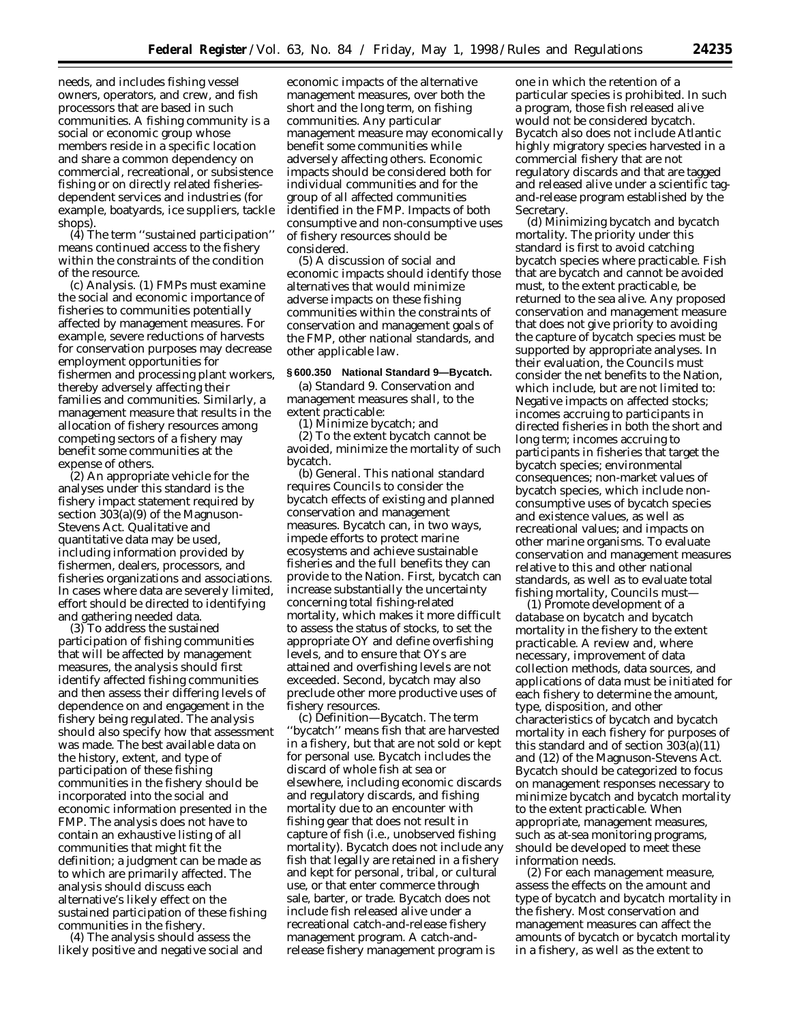needs, and includes fishing vessel owners, operators, and crew, and fish processors that are based in such communities. A fishing community is a social or economic group whose members reside in a specific location and share a common dependency on commercial, recreational, or subsistence fishing or on directly related fisheriesdependent services and industries (for example, boatyards, ice suppliers, tackle shops).

(4) The term ''sustained participation'' means continued access to the fishery within the constraints of the condition of the resource.

(c) *Analysis*. (1) FMPs must examine the social and economic importance of fisheries to communities potentially affected by management measures. For example, severe reductions of harvests for conservation purposes may decrease employment opportunities for fishermen and processing plant workers, thereby adversely affecting their families and communities. Similarly, a management measure that results in the allocation of fishery resources among competing sectors of a fishery may benefit some communities at the expense of others.

(2) An appropriate vehicle for the analyses under this standard is the fishery impact statement required by section 303(a)(9) of the Magnuson-Stevens Act. Qualitative and quantitative data may be used, including information provided by fishermen, dealers, processors, and fisheries organizations and associations. In cases where data are severely limited, effort should be directed to identifying and gathering needed data.

(3) To address the sustained participation of fishing communities that will be affected by management measures, the analysis should first identify affected fishing communities and then assess their differing levels of dependence on and engagement in the fishery being regulated. The analysis should also specify how that assessment was made. The best available data on the history, extent, and type of participation of these fishing communities in the fishery should be incorporated into the social and economic information presented in the FMP. The analysis does not have to contain an exhaustive listing of all communities that might fit the definition; a judgment can be made as to which are primarily affected. The analysis should discuss each alternative's likely effect on the sustained participation of these fishing communities in the fishery.

(4) The analysis should assess the likely positive and negative social and

economic impacts of the alternative management measures, over both the short and the long term, on fishing communities. Any particular management measure may economically benefit some communities while adversely affecting others. Economic impacts should be considered both for individual communities and for the group of all affected communities identified in the FMP. Impacts of both consumptive and non-consumptive uses of fishery resources should be considered.

(5) A discussion of social and economic impacts should identify those alternatives that would minimize adverse impacts on these fishing communities within the constraints of conservation and management goals of the FMP, other national standards, and other applicable law.

### **§ 600.350 National Standard 9—Bycatch.**

(a) *Standard 9*. Conservation and management measures shall, to the extent practicable:

(1) Minimize bycatch; and

(2) To the extent bycatch cannot be avoided, minimize the mortality of such bycatch.

(b) *General*. This national standard requires Councils to consider the bycatch effects of existing and planned conservation and management measures. Bycatch can, in two ways, impede efforts to protect marine ecosystems and achieve sustainable fisheries and the full benefits they can provide to the Nation. First, bycatch can increase substantially the uncertainty concerning total fishing-related mortality, which makes it more difficult to assess the status of stocks, to set the appropriate OY and define overfishing levels, and to ensure that OYs are attained and overfishing levels are not exceeded. Second, bycatch may also preclude other more productive uses of fishery resources.

(c) *Definition*—*Bycatch*. The term ''bycatch'' means fish that are harvested in a fishery, but that are not sold or kept for personal use. Bycatch includes the discard of whole fish at sea or elsewhere, including economic discards and regulatory discards, and fishing mortality due to an encounter with fishing gear that does not result in capture of fish (i.e., unobserved fishing mortality). Bycatch does not include any fish that legally are retained in a fishery and kept for personal, tribal, or cultural use, or that enter commerce through sale, barter, or trade. Bycatch does not include fish released alive under a recreational catch-and-release fishery management program. A catch-andrelease fishery management program is

one in which the retention of a particular species is prohibited. In such a program, those fish released alive would not be considered bycatch. Bycatch also does not include Atlantic highly migratory species harvested in a commercial fishery that are not regulatory discards and that are tagged and released alive under a scientific tagand-release program established by the Secretary.

(d) *Minimizing bycatch and bycatch mortality*. The priority under this standard is first to avoid catching bycatch species where practicable. Fish that are bycatch and cannot be avoided must, to the extent practicable, be returned to the sea alive. Any proposed conservation and management measure that does not give priority to avoiding the capture of bycatch species must be supported by appropriate analyses. In their evaluation, the Councils must consider the net benefits to the Nation, which include, but are not limited to: Negative impacts on affected stocks; incomes accruing to participants in directed fisheries in both the short and long term; incomes accruing to participants in fisheries that target the bycatch species; environmental consequences; non-market values of bycatch species, which include nonconsumptive uses of bycatch species and existence values, as well as recreational values; and impacts on other marine organisms. To evaluate conservation and management measures relative to this and other national standards, as well as to evaluate total fishing mortality, Councils must—

(1) *Promote development of a database on bycatch and bycatch mortality in the fishery to the extent practicable*. A review and, where necessary, improvement of data collection methods, data sources, and applications of data must be initiated for each fishery to determine the amount, type, disposition, and other characteristics of bycatch and bycatch mortality in each fishery for purposes of this standard and of section 303(a)(11) and (12) of the Magnuson-Stevens Act. Bycatch should be categorized to focus on management responses necessary to minimize bycatch and bycatch mortality to the extent practicable. When appropriate, management measures, such as at-sea monitoring programs, should be developed to meet these information needs.

(2) *For each management measure, assess the effects on the amount and type of bycatch and bycatch mortality in the fishery*. Most conservation and management measures can affect the amounts of bycatch or bycatch mortality in a fishery, as well as the extent to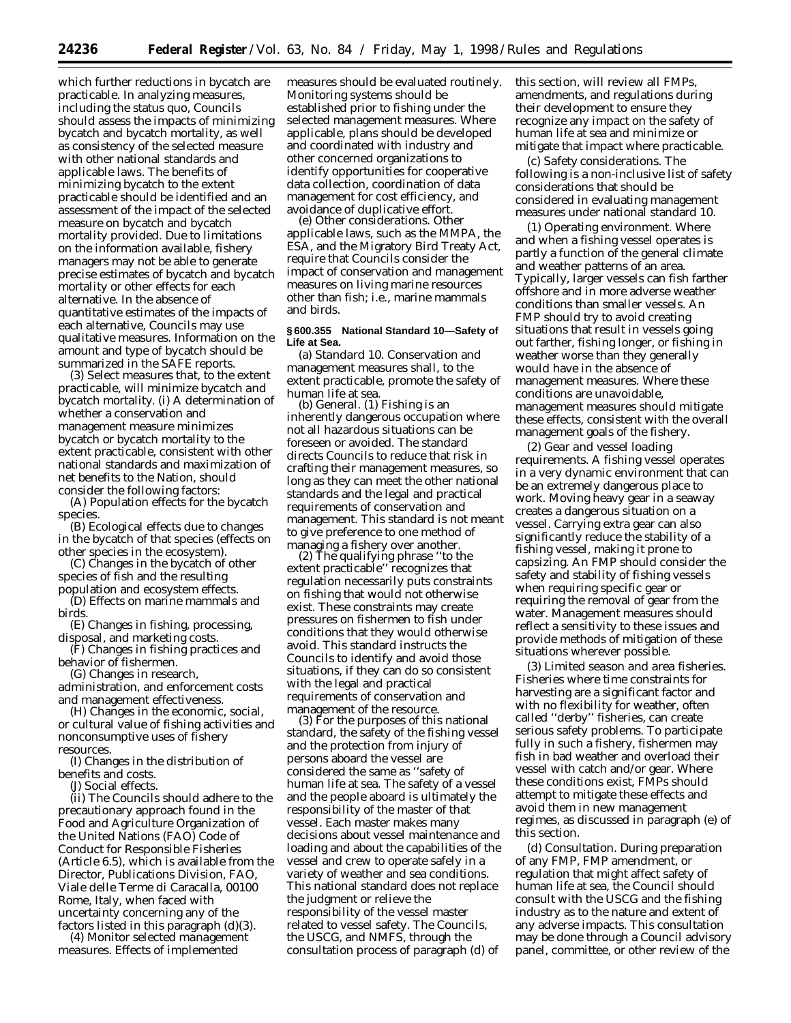which further reductions in bycatch are practicable. In analyzing measures, including the status quo, Councils should assess the impacts of minimizing bycatch and bycatch mortality, as well as consistency of the selected measure with other national standards and applicable laws. The benefits of minimizing bycatch to the extent practicable should be identified and an assessment of the impact of the selected measure on bycatch and bycatch mortality provided. Due to limitations on the information available, fishery managers may not be able to generate precise estimates of bycatch and bycatch mortality or other effects for each alternative. In the absence of quantitative estimates of the impacts of each alternative, Councils may use qualitative measures. Information on the amount and type of bycatch should be summarized in the SAFE reports.

(3) *Select measures that, to the extent practicable, will minimize bycatch and bycatch mortality*. (i) A determination of whether a conservation and management measure minimizes bycatch or bycatch mortality to the extent practicable, consistent with other national standards and maximization of net benefits to the Nation, should consider the following factors:

(A) Population effects for the bycatch species.

(B) Ecological effects due to changes in the bycatch of that species (effects on other species in the ecosystem).

(C) Changes in the bycatch of other species of fish and the resulting population and ecosystem effects.

(D) Effects on marine mammals and birds.

(E) Changes in fishing, processing, disposal, and marketing costs.

(F) Changes in fishing practices and behavior of fishermen.

(G) Changes in research,

administration, and enforcement costs and management effectiveness.

(H) Changes in the economic, social, or cultural value of fishing activities and nonconsumptive uses of fishery resources.

(I) Changes in the distribution of benefits and costs.

(J) Social effects.

(ii) The Councils should adhere to the precautionary approach found in the Food and Agriculture Organization of the United Nations (FAO) Code of Conduct for Responsible Fisheries (Article 6.5), which is available from the Director, Publications Division, FAO, Viale delle Terme di Caracalla, 00100 Rome, Italy, when faced with uncertainty concerning any of the factors listed in this paragraph (d)(3).

(4) *Monitor selected management measures*. Effects of implemented

measures should be evaluated routinely. Monitoring systems should be established prior to fishing under the selected management measures. Where applicable, plans should be developed and coordinated with industry and other concerned organizations to identify opportunities for cooperative data collection, coordination of data management for cost efficiency, and avoidance of duplicative effort. (e) *Other considerations*. Other

applicable laws, such as the MMPA, the ESA, and the Migratory Bird Treaty Act, require that Councils consider the impact of conservation and management measures on living marine resources other than fish; i.e., marine mammals and birds.

### **§ 600.355 National Standard 10—Safety of Life at Sea.**

(a) *Standard 10*. Conservation and management measures shall, to the extent practicable, promote the safety of human life at sea.

(b) *General*. (1) Fishing is an inherently dangerous occupation where not all hazardous situations can be foreseen or avoided. The standard directs Councils to reduce that risk in crafting their management measures, so long as they can meet the other national standards and the legal and practical requirements of conservation and management. This standard is not meant to give preference to one method of<br>managing a fishery over another.

 $(2)$  The qualifying phrase "to the extent practicable'' recognizes that regulation necessarily puts constraints on fishing that would not otherwise exist. These constraints may create pressures on fishermen to fish under conditions that they would otherwise avoid. This standard instructs the Councils to identify and avoid those situations, if they can do so consistent with the legal and practical requirements of conservation and

(3) For the purposes of this national standard, the safety of the fishing vessel and the protection from injury of persons aboard the vessel are considered the same as ''safety of human life at sea. The safety of a vessel and the people aboard is ultimately the responsibility of the master of that vessel. Each master makes many decisions about vessel maintenance and loading and about the capabilities of the vessel and crew to operate safely in a variety of weather and sea conditions. This national standard does not replace the judgment or relieve the responsibility of the vessel master related to vessel safety. The Councils, the USCG, and NMFS, through the consultation process of paragraph (d) of

this section, will review all FMPs, amendments, and regulations during their development to ensure they recognize any impact on the safety of human life at sea and minimize or mitigate that impact where practicable.

(c) *Safety considerations*. The following is a non-inclusive list of safety considerations that should be considered in evaluating management measures under national standard 10.

(1) *Operating environment*. Where and when a fishing vessel operates is partly a function of the general climate and weather patterns of an area. Typically, larger vessels can fish farther offshore and in more adverse weather conditions than smaller vessels. An FMP should try to avoid creating situations that result in vessels going out farther, fishing longer, or fishing in weather worse than they generally would have in the absence of management measures. Where these conditions are unavoidable, management measures should mitigate these effects, consistent with the overall management goals of the fishery.

(2) *Gear and vessel loading requirements*. A fishing vessel operates in a very dynamic environment that can be an extremely dangerous place to work. Moving heavy gear in a seaway creates a dangerous situation on a vessel. Carrying extra gear can also significantly reduce the stability of a fishing vessel, making it prone to capsizing. An FMP should consider the safety and stability of fishing vessels when requiring specific gear or requiring the removal of gear from the water. Management measures should reflect a sensitivity to these issues and provide methods of mitigation of these situations wherever possible.

(3) *Limited season and area fisheries*. Fisheries where time constraints for harvesting are a significant factor and with no flexibility for weather, often called ''derby'' fisheries, can create serious safety problems. To participate fully in such a fishery, fishermen may fish in bad weather and overload their vessel with catch and/or gear. Where these conditions exist, FMPs should attempt to mitigate these effects and avoid them in new management regimes, as discussed in paragraph (e) of this section.

(d) *Consultation*. During preparation of any FMP, FMP amendment, or regulation that might affect safety of human life at sea, the Council should consult with the USCG and the fishing industry as to the nature and extent of any adverse impacts. This consultation may be done through a Council advisory panel, committee, or other review of the